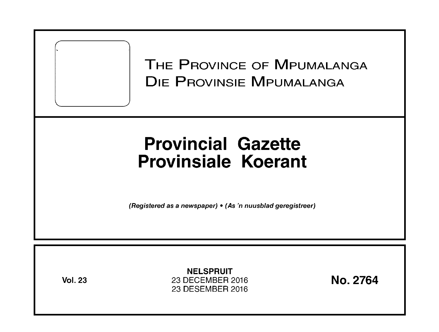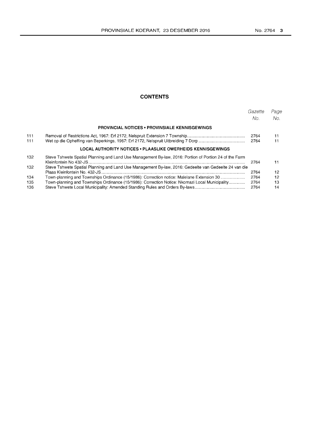# **CONTENTS**

|     |                                                                                                        | Gazette<br>No. | Page<br>No.     |
|-----|--------------------------------------------------------------------------------------------------------|----------------|-----------------|
|     | <b>PROVINCIAL NOTICES • PROVINSIALE KENNISGEWINGS</b>                                                  |                |                 |
| 111 |                                                                                                        | 2764           | 11              |
| 111 |                                                                                                        | 2764           | 11              |
|     | LOCAL AUTHORITY NOTICES • PLAASLIKE OWERHEIDS KENNISGEWINGS                                            |                |                 |
| 132 | Steve Tshwete Spatial Planning and Land Use Management By-law, 2016: Portion of Portion 24 of the Farm | 2764           | 11              |
| 132 | Steve Tshwete Spatial Planning and Land Use Management By-law, 2016: Gedeelte van Gedeelte 24 van die  | 2764           | 12 <sup>2</sup> |
| 134 | Town-planning and Townships Ordinance (15/1986): Correction notice: Malelane Extension 30              | 2764           | 12              |
| 135 | Town-planning and Townships Ordinance (15/1986): Correction Notice: Nkomazi Local Municipality         | 2764           | 13              |
| 136 |                                                                                                        | 2764           | 14              |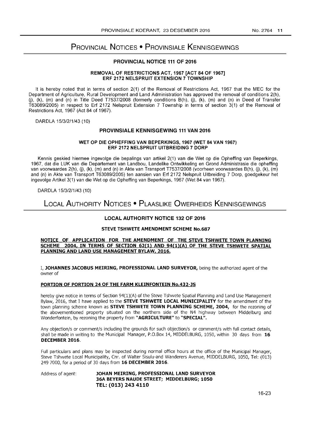# PROVINCIAL NOTICES • PROVINSIALE KENNISGEWINGS

## PROVINCIAL NOTICE 111 OF 2016

#### REMOVAL OF RESTRICTIONS ACT, 1967 [ACT 84 OF 1967] ERF 2172 NELSPRUIT EXTENSION 7 TOWNSHIP

It is hereby noted that in terms of section 2(1) of the Removal of Restrictions Act, 1967 that the MEC for the Department of Agriculture, Rural Development and Land Administration has approved the removal of conditions 2(h), (j), (k), (m) and (n) in Title Deed T7537/2008 (formerly conditions B(h), (j), (k), (m) and (n) in Deed of Transfer T63089/2005) in respect to Erf 2172 Nelspruit Extension 7 Township in terms of section 3(1) of the Removal of Restrictions Act, 1967 (Act 84 of 1967).

DARDLA 15/3/2/1/43 (10)

## PROVINSIALE KENNISGEWING 111 VAN 2016

#### WET OP DIE OPHEFFING VAN BEPERKINGS, 1967 (WET 84 VAN 1967) ERF 2172 NELSPRUIT UITBREIDING 7 DORP

Kennis geskied hiermee ingevolge die bepalings van artikel 2(1) van die Wet op die Opheffing van Beperkings, 1967, dat die LUK van die Departement van Landbou, Landelike Ontwikkeling en Grond Administrasie die opheffing van voorwaardes 2(h), (j), (k), (m) and (n) in Akte van Transport T7537/2008 (voorheen voorwaardes B(h), (j), (k), (m) and (n) in Akte van Transport T63089/2005) ten aansien van Erf 2172 Nelspruit Uitbreiding 7 Dorp, goedgekeur het ingevolge Artikel 3(1) van die Wet op die Opheffing van Beperkings, 1967 (Wet 84 van 1967).

DARDLA 15/3/2/1/43 (10)

# LOCAL AUTHORITY NOTICES • PLAASLIKE OWERHEIDS KENNISGEWINGS

## LOCAL AUTHORITY NOTICE 132 OF 2016

#### STEVE TSHWETE AMENDMENT SCHEME No.687

#### NOTICE OF APPLICATION FOR THE AMENDMENT OF THE STEVE TSHWETE TOWN PLANNING SCHEME 2004, IN TERMS OF SECTION 62(1) AND 94(1)(A) OF THE STEVE TSHWETE SPATIAL PLANNING AND LAND USE MANAGEMENT BYLAW, 2016.

I. JOHANNES JACOBUS MEIRING, PROFESSIONAL LAND SURVEYOR, being the authorized agent of the owner of

#### PORTION OF PORTION 24 OF THE FARM KLEINFONTEIN No.432-JS

hereby give notice in terms of Section 94(1)(A) of the Steve Tshwete Spatial Planning and Land Use Management Bylaw, 2016, that I have applied to the STEVE TSHWETE LOCAL MUNICIPALITY for the amendment of the town planning scheme known as **STEVE TSHWETE TOWN PLANNING SCHEME, 2004,** for the rezoning of the abovementioned property situated on the northern side of the N4 highway between Middelburg and Wonderfontein, by rezoning the property from "AGRICULTURE" to "SPECIAL".

Any objection/s or comment/s including the grounds for such objection/s or comment/s with full contact details, shall be made in writing to the Municipal Manager, P.O.Box 14, MIDDELBURG, 1050, within 30 days from 16 DECEMBER 2016.

Full particulars and plans may be inspected during normal office hours at the office of the Municipal Manager, Steve Tshwete Local Municipality, enr. of Walter Sisulu-and Wanderers Avenue, MIDDELBURG, 1050, Tel: (013) 249 7000, for a period of 30 days from 16 DECEMBER 2016.

Address of agent: **JOHAN MEIRING, PROFESSIONAL LAND SURVEYOR** 36A BEYERS NAUDE STREET; MIDDELBURG; 1050 TEL: (013) 243 4110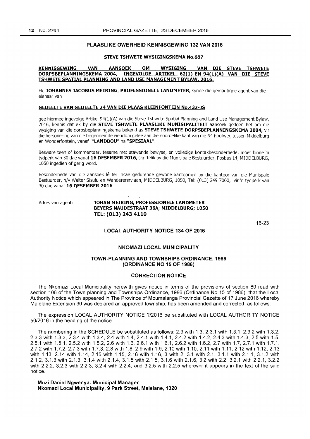#### **PLAASLIKE OWERHEID KENNISGEWING 132 VAN 2016**

#### **STEVE TSHWETE WYSIGINGSKEMA No.687**

#### **KENNISGEWING VAN AANSOEK OM WYSIGING VAN DIE STEVE TSHWETE DORPSBEPlANNINGSKEMA 2004, INGEVOlGE ARTIKEl 62(1) EN 94(1)(A) VAN DIE STEVE TSHWETE SPATIAL PLANNING AND lAND USE MANAGEMENT BYlAW, 2016.**

Ek, **JOHANNES JACOBUS MEIRING, PROFESSIONElE lANDMETER,** synde die gemagtigde agent van die eienaar van

#### **GEDEElTE VAN GEDEEl TE 24 VAN DIE PlAAS KlEINFONTEIN No.432-JS**

gee hiermee ingevolge Artikel 94(1)(A) van die Steve Tshwete Spatial Planning and Land Use Management Bylaw, 2016, kennis dat ek by die **STEVE TSHWETE PlAASLIKE MUNISIPALITEIT** aansoek gedoen het om die wysiging van die dorpsbeplanningskema bekend as **STEVE TSHWETE DORPSBEPlANNINGSKEMA 2004,** vir die hersonering van die bogenoemde eiendom gelee aan die noordelike kant van die N4 hoofweg tussen Middelburg en Wonderfontein, vanaf **"LANDBOU" na "SPESIAAl".** 

Besware teen of kommentaar, tesame met stawende bewyse, en volledige kontakbesonderhede, moet binne 'n tydperk van 30 dae vanaf **16 DESEMBER 2016,** skriftelik by die Munisipale Bestuurder, Posbus 14, MIDDELBURG, 1050 ingedien of gerig word.

Besonderhede van die aansoek lê ter insae gedurende gewone kantoorure by die kantoor van die Munispale Bestuurder, h/v Walter Sisulu-en Wanderersrylaan, MIDDELBURG, 1050, Tel: (013) 249 7000, vir 'n tydperk van 30 dae vanaf **16 DESEMBER 2016.** 

#### Adres van agent: **JOHAN MEIRING, PROFESSIONElE lANDMETER BEYERS NAUDESTRAAT 36Ai MIDDElBURGi 1050 TEL: (013) 243 4110**

16-23

## **LOCAL AUTHORITY NOTICE 134 OF 2016**

#### **NKOMAZI LOCAL MUNICIPALITY**

#### **TOWN-PLANNING AND TOWNSHIPS ORDINANCE, 1986 (ORDINANCE NO 15 OF 1986)**

#### **CORRECTION NOTICE**

The Nkomazi Local Municipality herewith gives notice in terms of the provisions of section 80 read with section 106 of the Town-planning and Townships Ordinance, 1986 (Ordinance No 15 of 1986), that the Local Authority Notice which appeared in The Province of Mpumalanga Provincial Gazette of 17 June 2016 whereby Malelane Extension 30 was declared an approved township, has been amended and corrected, as follows:

The expression LOCAL AUTHORITY NOTICE ?/2016 be substituted with LOCAL AUTHORITY NOTICE 50/2016 in the heading of the notice.

The numbering in the SCHEDULE be substituted as follows: 2.3 with 1.3, 2.3.1 with 1.3.1, 2.3.2 with 1.3.2, 2.3.3 with 1.3.3, 2.3.4 with 1.3.4, 2.4 with 1.4, 2.4.1 with 1.4.1, 2.4.2 with 1.4.2, 2.4.3 with 1.4.3, 2.5 with 1.5, 2.5.1 with 1.5.1, 2.5.2 with 1.5.2, 2.6 with 1.6, 2.6.1 with 1.6.1, 2.6.2 with 1.6.2, 2.7 with 1.7, 2.7.1 with 1.7.1, 2.7.2 with 1.7.2, 2.7.3 with 1.7.3,2.8 with 1.8,2.9 with 1.9, 2.10 with 1.10,2.11 with 1.11, 2.12 with 1.12,2.13 with 1.13, 2.14 with 1.14, 2.15 with 1.15, 2.16 with 1.16, 3 with 2, 3.1 with 2.1, 3.1.1 with 2.1.1, 3.1.2 with 2.1.2, 3.1.3 with 2.1.3, 3.1.4 with 2.1.4, 3.1.5 with 2.1.5, 3.1.6 with 2.1.6, 3.2 with 2.2, 3.2.1 with 2.2.1, 3.2.2 with 2.2.2, 3.2.3 with 2.2.3, 3.2.4 with 2.2.4, and 3.2.5 with 2.2.5 wherever it appears in the text of the said notice.

**Muzi Daniel Ngwenya: Municipal Manager Nkomazi Local Municipality, 9 Park Street, Malelane, 1320**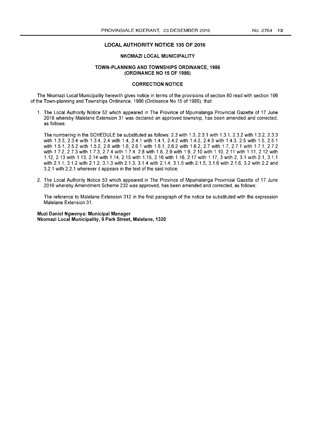#### LOCAL AUTHORITY NOTICE 135 OF 2016

## NKOMAZI LOCAL MUNICIPALITY

#### TOWN-PLANNING AND TOWNSHIPS ORDINANCE, 1986 (ORDINANCE NO 15 OF 1986)

## CORRECTION NOTICE

The Nkomazi Local Municipality herewith gives notice in terms of the provisions of section 80 read with section 106 of the Town-planning and Townships Ordinance, 1986 (Ordinance No 15 of 1986), that:

1. The Local Authority Notice 52 which appeared in The Province of Mpumalanga Provincial Gazette of 17 June 2016 whereby Malelane Extension 31 was declared an approved township, has been amended and corrected, as follows:

The numbering in the SCHEDULE be substituted as follows: 2.3 with 1.3, 2.3.1 with 1.3.1,2.3.2 with 1.3.2, 2.3.3 with 1.3.3, 2.3.4 with 1.3.4, 2.4 with 1.4, 2.4.1 with 1.4.1, 2.4.2 with 1.4.2, 2.4.3 with 1.4.3, 2.5 with 1.5, 2.5.1 with 1.5.1, 2.5.2 with 1.5.2, 2.6 with 1.6, 2.6.1 with 1.6.1, 2.6.2 with 1.6.2, 2.7 with 1.7, 2.7.1 with 1.7.1, 2.7.2 with 1.7.2, 2.7.3 with 1.7.3, 2.7.4 with 1.7.4, 2.8 with 1.8, 2.9 with 1.9, 2.10 with 1.10, 2.11 with 1.11, 2.12 with 1.12,2.13 with 1.13,2.14 with 1.14,2.15 with 1.15,2.16 with 1.16,2.17 with 1.17,3 with 2, 3.1 with 2.1, 3.1.1 with 2.1.1, 3.1.2 with 2.1.2, 3.1.3 with 2.1.3, 3.1.4 with 2.1.4, 3.1.5 with 2.1.5, 3.1.6 with 2.1.6, 3.2 with 2.2 and 3.2.1 with 2.2.1 wherever it appears in the text of the said notice.

2. The Local Authority Notice 53 which appeared in The Province of Mpumalanga Provincial Gazette of 17 June 2016 whereby Amendment Scheme 232 was approved, has been amended and corrected, as follows:

The reference to Malelane Extension 312 in the first paragraph of the notice be substituted with the expression Malelane Extension 31.

Muzi Daniel Ngwenya: Municipal Manager Nkomazi Local Municipality, 9 Park Street, Malelane, 1320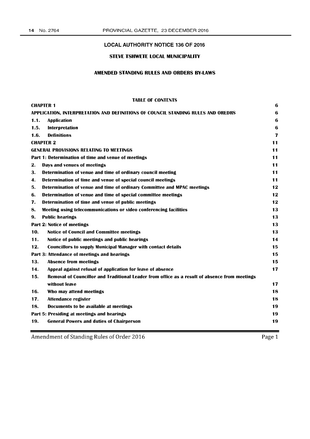## LOCAL AUTHORITY NOTICE 136 OF 2016

# STEVE TSHWETE LOCAL MUNICIPALITY

# AMENDED STANDING RULES AND ORDERS BY-LAWS

## TABLE OF CONTENTS

|                                                                                  | <b>CHAPTER 1</b>                                                                              | 6  |
|----------------------------------------------------------------------------------|-----------------------------------------------------------------------------------------------|----|
| APPLICATION, INTERPRETATION AND DEFINITIONS OF COUNCIL STANDING RULES AND OREDRS |                                                                                               |    |
| 1.1.                                                                             | <b>Application</b>                                                                            | 6  |
| 1.5.                                                                             | Interpretation                                                                                | 6  |
| 1.6.                                                                             | <b>Definitions</b>                                                                            | 7  |
|                                                                                  | <b>CHAPTER 2</b>                                                                              | 11 |
|                                                                                  | <b>GENERAL PROVISIONS RELATING TO MEETINGS</b>                                                | 11 |
|                                                                                  | Part 1: Determination of time and venue of meetings                                           | 11 |
| 2.                                                                               | Days and venues of meetings                                                                   | 11 |
| З.                                                                               | Determination of venue and time of ordinary council meeting                                   | 11 |
| 4.                                                                               | Determination of time and venue of special council meetings                                   | 11 |
| 5.                                                                               | Determination of venue and time of ordinary Committee and MPAC meetings                       | 12 |
| 6.                                                                               | Determination of venue and time of special committee meetings                                 | 12 |
| 7.                                                                               | Determination of time and venue of public meetings                                            | 12 |
| 8.                                                                               | Meeting using telecommunications or video conferencing facilities                             | 13 |
| 9.                                                                               | <b>Public hearings</b>                                                                        | 13 |
| Part 2: Notice of meetings<br>13                                                 |                                                                                               |    |
| 10.                                                                              | Notice of Council and Committee meetings                                                      | 13 |
| 11.                                                                              | Notice of public meetings and public hearings                                                 | 14 |
| 12.                                                                              | <b>Councillors to supply Municipal Manager with contact details</b>                           | 15 |
|                                                                                  | Part 3: Attendance of meetings and hearings                                                   | 15 |
| 13.                                                                              | <b>Absence from meetings</b>                                                                  | 15 |
| 14.                                                                              | Appeal against refusal of application for leave of absence                                    | 17 |
| 15.                                                                              | Removal of Councillor and Traditional Leader from office as a result of absence from meetings |    |
|                                                                                  | without leave                                                                                 | 17 |
| 16.                                                                              | Who may attend meetings                                                                       | 18 |
| 17.                                                                              | <b>Attendance register</b>                                                                    | 18 |
| 18.                                                                              | Documents to be available at meetings                                                         | 19 |
|                                                                                  | Part 5: Presiding at meetings and hearings                                                    | 19 |
| 19.                                                                              | <b>General Powers and duties of Chairperson</b>                                               | 19 |
|                                                                                  |                                                                                               |    |

Amendment of Standing Rules of Order 2016

Page 1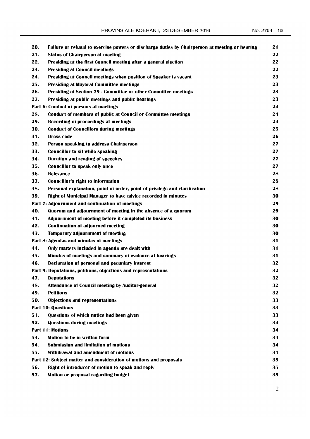| 20. | Failure or refusal to exercise powers or discharge duties by Chairperson at meeting or hearing | 21 |
|-----|------------------------------------------------------------------------------------------------|----|
| 21. | <b>Status of Chairperson at meeting</b>                                                        | 22 |
| 22. | Presiding at the first Council meeting after a general election                                | 22 |
| 23. | <b>Presiding at Council meetings</b>                                                           | 22 |
| 24. | Presiding at Council meetings when position of Speaker is vacant                               | 23 |
| 25. | <b>Presiding at Mayoral Committee meetings</b>                                                 | 23 |
| 26. | Presiding at Section 79 - Committee or other Committee meetings                                | 23 |
| 27. | Presiding at public meetings and public hearings                                               | 23 |
|     | Part 6: Conduct of persons at meetings                                                         | 24 |
| 28. | Conduct of members of public at Council or Committee meetings                                  | 24 |
| 29. | <b>Recording of proceedings at meetings</b>                                                    | 24 |
| 30. | <b>Conduct of Councillors during meetings</b>                                                  | 25 |
| 31. | <b>Dress code</b>                                                                              | 26 |
| 32. | Person speaking to address Chairperson                                                         | 27 |
| 33. | <b>Councillor to sit while speaking</b>                                                        | 27 |
| 34. | <b>Duration and reading of speeches</b>                                                        | 27 |
| 35. | <b>Councillor to speak only once</b>                                                           | 27 |
| 36. | <b>Relevance</b>                                                                               | 28 |
| 37. | Councillor's right to information                                                              | 28 |
| 38. | Personal explanation, point of order, point of privilege and clarification                     | 28 |
| 39. | Right of Municipal Manager to have advice recorded in minutes                                  | 30 |
|     | Part 7: Adjournment and continuation of meetings                                               | 29 |
| 40. | Quorum and adjournment of meeting in the absence of a quorum                                   | 29 |
| 41. | Adjournment of meeting before it completed its business                                        | 30 |
| 42. | <b>Continuation of adjourned meeting</b>                                                       | 30 |
| 43. | <b>Temporary adjournment of meeting</b>                                                        | 30 |
|     | Part 8: Agendas and minutes of meetings                                                        | 31 |
| 44. | Only matters included in agenda are dealt with                                                 | 31 |
| 45. | Minutes of meetings and summary of evidence at hearings                                        | 31 |
| 46. | <b>Declaration of personal and pecuniary interest</b>                                          | 32 |
|     | Part 9: Deputations, petitions, objections and representations                                 | 32 |
| 47. | <b>Deputations</b>                                                                             | 32 |
| 48. | <b>Attendance of Council meeting by Auditor-general</b>                                        | 32 |
| 49. | <b>Petitions</b>                                                                               | 32 |
| 50. | <b>Objections and representations</b>                                                          | 33 |
|     | <b>Part 10: Questions</b>                                                                      | 33 |
| 51. | Questions of which notice had been given                                                       | 33 |
| 52. | <b>Questions during meetings</b>                                                               | 34 |
|     | <b>Part 11: Motions</b>                                                                        | 34 |
| 53. | Motion to be in written form                                                                   | 34 |
| 54. | <b>Submission and limitation of motions</b>                                                    | 34 |
| 55. | Withdrawal and amendment of motions                                                            | 34 |
|     | Part 12: Subject matter and consideration of motions and proposals                             | 35 |
| 56. | Right of introducer of motion to speak and reply                                               | 35 |
| 57. | Motion or proposal regarding budget                                                            | 35 |

2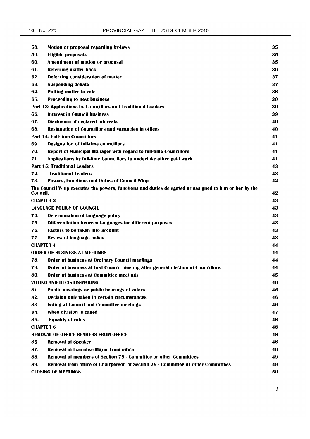| 58.                              | Motion or proposal regarding by-laws                                                                  | 35 |  |
|----------------------------------|-------------------------------------------------------------------------------------------------------|----|--|
| 59.                              | Eligible proposals                                                                                    |    |  |
| 60.                              | <b>Amendment of motion or proposal</b>                                                                |    |  |
| 61.                              | <b>Referring matter back</b>                                                                          | 36 |  |
| 62.                              | Deferring consideration of matter                                                                     | 37 |  |
| 63.                              | <b>Suspending debate</b>                                                                              | 37 |  |
| 64.                              | <b>Putting matter to vote</b>                                                                         | 38 |  |
| 65.                              | <b>Proceeding to next business</b>                                                                    | 39 |  |
|                                  | Part 13: Applications by Councillors and Traditional Leaders                                          | 39 |  |
| 66.                              | <b>Interest in Council business</b>                                                                   | 39 |  |
| 67.                              | <b>Disclosure of declared interests</b>                                                               | 40 |  |
| 68.                              | <b>Resignation of Councillors and vacancies in offices</b>                                            | 40 |  |
|                                  | <b>Part 14: Full-time Councillors</b>                                                                 | 41 |  |
| 69.                              | <b>Designation of full-time councillors</b>                                                           | 41 |  |
| 70.                              | <b>Report of Municipal Manager with regard to full-time Councillors</b>                               | 41 |  |
| 71.                              | Applications by full-time Councillors to undertake other paid work                                    | 41 |  |
|                                  | <b>Part 15: Traditional Leaders</b>                                                                   | 43 |  |
| 72.                              | <b>Traditional Leaders</b>                                                                            | 43 |  |
| 73.                              | <b>Powers, Functions and Duties of Council Whip</b>                                                   | 42 |  |
| Council.                         | The Council Whip executes the powers, functions and duties delegated or assigned to him or her by the | 42 |  |
| <b>CHAPTER 3</b>                 |                                                                                                       | 43 |  |
|                                  | <b>LANGUAGE POLICY OF COUNCIL</b>                                                                     | 43 |  |
| 74.                              | Determination of language policy                                                                      | 43 |  |
| 75.                              | Differentiation between languages for different purposes                                              | 43 |  |
| 76.                              | <b>Factors to be taken into account</b>                                                               | 43 |  |
| 77.                              | Review of language policy                                                                             | 43 |  |
|                                  | <b>CHAPTER 4</b>                                                                                      |    |  |
|                                  | <b>ORDER OF BUSINESS AT MEETINGS</b>                                                                  | 44 |  |
| 78.                              | <b>Order of business at Ordinary Council meetings</b>                                                 | 44 |  |
| 79.                              | Order of business at first Council meeting after general election of Councillors                      | 44 |  |
| 80.                              | <b>Order of business at Committee meetings</b>                                                        | 45 |  |
|                                  | <b>VOTING AND DECISION-MAKING</b>                                                                     | 46 |  |
| 81.                              | Public meetings or public hearings of voters                                                          | 46 |  |
| 82.                              | Decision only taken in certain circumstances                                                          | 46 |  |
| 83.                              | <b>Voting at Council and Committee meetings</b>                                                       | 46 |  |
| 84.                              | When division is called                                                                               | 47 |  |
| 85.                              | <b>Equality of votes</b>                                                                              | 48 |  |
| <b>CHAPTER 6</b>                 |                                                                                                       | 48 |  |
|                                  | <b>REMOVAL OF OFFICE-BEARERS FROM OFFICE</b>                                                          | 48 |  |
| 86.                              | <b>Removal of Speaker</b>                                                                             | 48 |  |
| 87.                              | <b>Removal of Executive Mayor from office</b>                                                         | 49 |  |
| 88.                              | Removal of members of Section 79 - Committee or other Committees                                      | 49 |  |
| 89.                              | Removal from office of Chairperson of Section 79 - Committee or other Committees                      | 49 |  |
| <b>CLOSING OF MEETINGS</b><br>50 |                                                                                                       |    |  |

3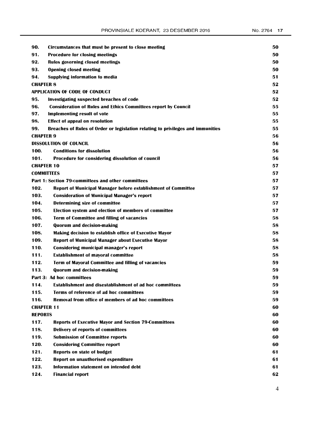| 90.              | Circumstances that must be present to close meeting                             | 50 |  |
|------------------|---------------------------------------------------------------------------------|----|--|
| 91.              | <b>Procedure for closing meetings</b>                                           |    |  |
| 92.              | <b>Rules governing closed meetings</b>                                          |    |  |
| 93.              | <b>Opening closed meeting</b>                                                   | 50 |  |
| 94.              | <b>Supplying information to media</b>                                           | 51 |  |
| <b>CHAPTER 8</b> |                                                                                 | 52 |  |
|                  | APPLICATION OF CODE OF CONDUCT                                                  | 52 |  |
| 95.              | Investigating suspected breaches of code                                        | 52 |  |
| 96.              | <b>Consideration of Rules and Ethics Committees report by Council</b>           | 55 |  |
| 97.              | <b>Implementing result of vote</b>                                              | 55 |  |
| 98.              | <b>Effect of appeal on resolution</b>                                           | 55 |  |
| 99.              | Breaches of Rules of Order or legislation relating to privileges and immunities | 55 |  |
| <b>CHAPTER 9</b> |                                                                                 | 56 |  |
|                  | <b>DISSOLUTION OF COUNCIL</b>                                                   | 56 |  |
| 100.             | <b>Conditions for dissolution</b>                                               | 56 |  |
| 101.             | Procedure for considering dissolution of council                                | 56 |  |
|                  | <b>CHAPTER 10</b>                                                               | 57 |  |
|                  | <b>COMMITTEES</b>                                                               | 57 |  |
|                  | <b>Part 1: Section 79-committees and other committees</b>                       | 57 |  |
| 102.             | Report of Municipal Manager before establishment of Committee                   | 57 |  |
| 103.             | <b>Consideration of Municipal Manager's report</b>                              | 57 |  |
| 104.             | Determining size of committee                                                   | 57 |  |
| 105.             | Election system and election of members of committee                            | 57 |  |
| 106.             | <b>Term of Committee and filling of vacancies</b>                               | 58 |  |
| 107.             | <b>Quorum and decision-making</b>                                               | 58 |  |
| 108.             | <b>Making decision to establish office of Executive Mayor</b>                   | 58 |  |
| 109.             | <b>Report of Municipal Manager about Executive Mayor</b>                        | 58 |  |
| 110.             | Considering municipal manager's report                                          | 58 |  |
| 111.             | <b>Establishment of mayoral committee</b>                                       | 58 |  |
| 112.             | <b>Term of Mayoral Committee and filling of vacancies</b>                       | 59 |  |
| 113.             | <b>Quorum and decision-making</b>                                               | 59 |  |
|                  | Part 3: Ad hoc committees                                                       | 59 |  |
| 114.             | <b>Establishment and disestablishment of ad hoc committees</b>                  | 59 |  |
| 115.             | Terms of reference of ad hoc committees                                         | 59 |  |
| 116.             | Removal from office of members of ad hoc committees                             | 59 |  |
|                  | <b>CHAPTER 11</b>                                                               | 60 |  |
| <b>REPORTS</b>   |                                                                                 | 60 |  |
| 117.             | <b>Reports of Executive Mayor and Section 79-Committees</b>                     | 60 |  |
| 118.             | <b>Delivery of reports of committees</b>                                        | 60 |  |
| 119.             | <b>Submission of Committee reports</b>                                          | 60 |  |
| 120.             | <b>Considering Committee report</b>                                             | 60 |  |
| 121.             | <b>Reports on state of budget</b>                                               | 61 |  |
| 122.             | <b>Report on unauthorised expenditure</b>                                       | 61 |  |
| 123.             | Information statement on intended debt                                          | 61 |  |
| 124.             | <b>Financial report</b>                                                         | 62 |  |

4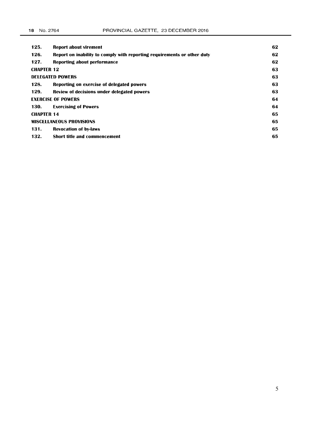| 125.                            | <b>Report about virement</b>                                            | 62 |
|---------------------------------|-------------------------------------------------------------------------|----|
| 126.                            | Report on inability to comply with reporting requirements or other duty | 62 |
| 127.                            | Reporting about performance                                             | 62 |
| <b>CHAPTER 12</b>               |                                                                         | 63 |
|                                 | <b>DELEGATED POWERS</b>                                                 | 63 |
| 128.                            | Reporting on exercise of delegated powers                               | 63 |
| 129.                            | Review of decisions under delegated powers                              | 63 |
| <b>EXERCISE OF POWERS</b>       |                                                                         | 64 |
| 130.                            | <b>Exercising of Powers</b>                                             | 64 |
| <b>CHAPTER 14</b>               |                                                                         | 65 |
| <b>MISCELLANEOUS PROVISIONS</b> |                                                                         | 65 |
| 131.                            | <b>Revocation of by-laws</b>                                            | 65 |
| 132.                            | <b>Short title and commencement</b>                                     | 65 |
|                                 |                                                                         |    |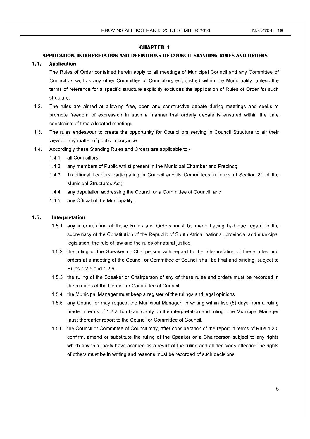## **CHAPTER 1**

## **APPLICATION, INTERPRETATION AND DEFINITIONS OF COUNCIL STANDING RULES AND ORDERS**

## **1.1. Application**

The Rules of Order contained herein apply to all meetings of Municipal Council and any Committee of Council as well as any other Committee of Councillors established within the Municipality, unless the terms of reference for a specific structure explicitly excludes the application of Rules of Order for such structure.

- 1.2. The rules are aimed at allowing free, open and constructive debate during meetings and seeks to promote freedom of expression in such a manner that orderly debate is ensured within the time constraints of time allocated meetings.
- 1.3. The rules endeavour to create the opportunity for Councillors serving in Council Structure to air their view on any matter of public importance.
- 1.4. Accordingly these Standing Rules and Orders are applicable to:-
	- 1.4.1 all Councillors;
	- 1.4.2 any members of Public whilst present in the Municipal Chamber and Precinct;
	- 1.4.3 Traditional Leaders participating in Council and its Committees in terms of Section 81 of the Municipal Structures Act;;
	- 1.4.4 any deputation addressing the Council or a Committee of Council; and
	- 1.4.5 any Official of the Municipality.

## **1.5. Interpretation**

- 1.5.1 any interpretation of these Rules and Orders must be made having had due regard to the supremacy of the Constitution of the Republic of South Africa, national, provincial and municipal legislation, the rule of law and the rules of natural justice.
- 1.5.2 the ruling of the Speaker or Chairperson with regard to the interpretation of these rules and orders at a meeting of the Council or Committee of Council shall be final and binding, subject to Rules 1.2.5 and 1.2.6.
- 1.5.3 the ruling of the Speaker or Chairperson of any of these rules and orders must be recorded in the minutes of the Council or Committee of Council.
- 1.5.4 the Municipal Manager must keep a register of the rulings and legal opinions.
- 1.5.5 any Councillor may request the Municipal Manager, in writing within five (5) days from a ruling made in terms of 1.2.2, to obtain clarity on the interpretation and ruling. The Municipal Manager must thereafter report to the Council or Committee of Council.
- 1.5.6 the Council or Committee of Council may, after consideration of the report in terms of Rule 1.2.5 confirm, amend or substitute the ruling of the Speaker or a Chairperson subject to any rights which any third party have accrued as a result of the ruling and all decisions effecting the rights of others must be in writing and reasons must be recorded of such decisions.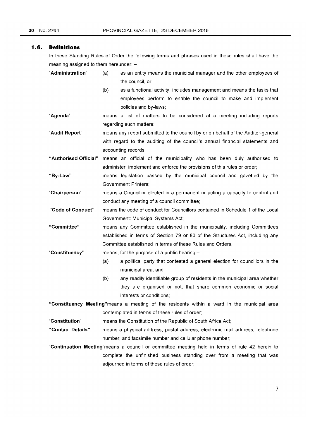#### **1.6. Definitions**

In these Standing Rules of Order the following terms and phrases used in these rules shall have the meaning assigned to them hereunder: -

| "Administration" | as an entity means the municipal manager and the other employees of |
|------------------|---------------------------------------------------------------------|
|                  | the council, or                                                     |

- (b) as a functional activity, includes management and means the tasks that employees perform to enable the council to make and implement policies and by-laws;
- "Agenda" means a list of matters to be considered at a meeting including reports regarding such matters;
- "Audit Report" means any report submitted to the council by or on behalf of the Auditor-general with regard to the auditing of the council's annual financial statements and accounting records;

"Authorised Official" means an official of the municipality who has been duly authorised to administer, implement and enforce the provisions of this rules or order;

"By-Law" means legislation passed by the municipal council and gazetted by the Government Printers;

"Chairperson" means a Councillor elected in a permanent or acting a capacity to control and conduct any meeting of a council committee;

"Code of Conduct" means the code of conduct for Councillors contained in Schedule 1 of the Local Government: Municipal Systems Act;

"Committee" means any Committee established in the municipality, including Committees established in terms of Section 79 or 80 of the Structures Act, including any Committee established in terms of these Rules and Orders,

- "Constituency" means, for the purpose of a public hearing  $-$ 
	- (a) a political party that contested a general election for councillors in the municipal area; and
	- (b) any readily identifiable group of residents in the municipal area whether they are organised or not, that share common economic or social interests or conditions;

"Constituency Meeting"means a meeting of the residents within a ward in the municipal area contemplated in terms of these rules of order;

"Constitution" means the Constitution of the Republic of South Africa Act;

"Contact Details" means a physical address, postal address, electronic mail address, telephone number, and facsimile number and cellular phone number;

"Continuation Meeting"means a council or committee meeting held in terms of rule 42 herein to complete the unfinished business standing over from a meeting that was adjourned in terms of these rules of order;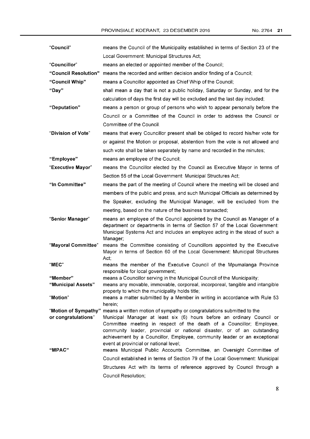| "Council"            | means the Council of the Municipality established in terms of Section 23 of the                                                                                                                                                                                                                                                                  |
|----------------------|--------------------------------------------------------------------------------------------------------------------------------------------------------------------------------------------------------------------------------------------------------------------------------------------------------------------------------------------------|
|                      | Local Government: Municipal Structures Act;                                                                                                                                                                                                                                                                                                      |
| "Councillor"         | means an elected or appointed member of the Council;                                                                                                                                                                                                                                                                                             |
| "Council Resolution" | means the recorded and written decision and/or finding of a Council;                                                                                                                                                                                                                                                                             |
| "Council Whip"       | means a Councillor appointed as Chief Whip of the Council;                                                                                                                                                                                                                                                                                       |
| "Day"                | shall mean a day that is not a public holiday, Saturday or Sunday, and for the<br>calculation of days the first day will be excluded and the last day included;                                                                                                                                                                                  |
| "Deputation"         | means a person or group of persons who wish to appear personally before the                                                                                                                                                                                                                                                                      |
|                      | Council or a Committee of the Council in order to address the Council or<br>Committee of the Council.                                                                                                                                                                                                                                            |
| "Division of Vote"   | means that every Councillor present shall be obliged to record his/her vote for                                                                                                                                                                                                                                                                  |
|                      | or against the Motion or proposal, abstention from the vote is not allowed and                                                                                                                                                                                                                                                                   |
|                      | such vote shall be taken separately by name and recorded in the minutes;                                                                                                                                                                                                                                                                         |
| "Employee"           | means an employee of the Council;                                                                                                                                                                                                                                                                                                                |
| "Executive Mayor"    | means the Councillor elected by the Council as Executive Mayor in terms of                                                                                                                                                                                                                                                                       |
|                      | Section 55 of the Local Government: Municipal Structures Act;                                                                                                                                                                                                                                                                                    |
| "In Committee"       | means the part of the meeting of Council where the meeting will be closed and                                                                                                                                                                                                                                                                    |
|                      | members of the public and press, and such Municipal Officials as determined by                                                                                                                                                                                                                                                                   |
|                      | the Speaker, excluding the Municipal Manager, will be excluded from the                                                                                                                                                                                                                                                                          |
|                      | meeting, based on the nature of the business transacted;                                                                                                                                                                                                                                                                                         |
| "Senior Manager"     | means an employee of the Council appointed by the Council as Manager of a                                                                                                                                                                                                                                                                        |
|                      | department or departments in terms of Section 57 of the Local Government:<br>Municipal Systems Act and includes an employee acting in the stead of such a<br>Manager;                                                                                                                                                                            |
| "Mayoral Committee"  | means the Committee consisting of Councillors appointed by the Executive<br>Mayor in terms of Section 60 of the Local Government: Municipal Structures<br>Act;                                                                                                                                                                                   |
| "MEC"                | means the member of the Executive Council of the Mpumalanga Province<br>responsible for local government;                                                                                                                                                                                                                                        |
| "Member"             | means a Councillor serving in the Municipal Council of the Municipality;                                                                                                                                                                                                                                                                         |
| "Municipal Assets"   | means any movable, immovable, corporeal, incorporeal, tangible and intangible<br>property to which the municipality holds title;                                                                                                                                                                                                                 |
| "Motion"             | means a matter submitted by a Member in writing in accordance with Rule 53<br>herein;                                                                                                                                                                                                                                                            |
| "Motion of Sympathy" | means a written motion of sympathy or congratulations submitted to the                                                                                                                                                                                                                                                                           |
| or congratulations"  | Municipal Manager at least six (6) hours before an ordinary Council or<br>Committee meeting in respect of the death of a Councillor; Employee,<br>community leader, provincial or national disaster, or of an outstanding<br>achievement by a Councillor, Employee, community leader or an exceptional<br>event at provincial or national level; |
| "MPAC"               | means Municipal Public Accounts Committee, an Oversight Committee of                                                                                                                                                                                                                                                                             |
|                      | Council established in terms of Section 79 of the Local Government: Municipal                                                                                                                                                                                                                                                                    |
|                      | Structures Act with its terms of reference approved by Council through a                                                                                                                                                                                                                                                                         |
|                      | Council Resolution;                                                                                                                                                                                                                                                                                                                              |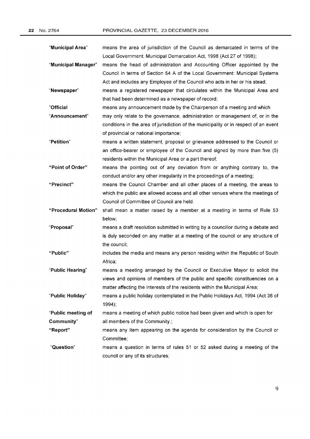| "Municipal Area"    | means the area of jurisdiction of the Council as demarcated in terms of the          |
|---------------------|--------------------------------------------------------------------------------------|
|                     | Local Government: Municipal Demarcation Act, 1998 (Act 27 of 1998);                  |
| "Municipal Manager" | means the head of administration and Accounting Officer appointed by the             |
|                     | Council in terms of Section 54 A of the Local Government: Municipal Systems          |
|                     | Act and includes any Employee of the Council who acts in her or his stead;           |
| "Newspaper"         | means a registered newspaper that circulates within the Municipal Area and           |
|                     | that had been determined as a newspaper of record;                                   |
| "Official           | means any announcement made by the Chairperson of a meeting and which                |
| "Announcement"      | may only relate to the governance, administration or management of, or in the        |
|                     | conditions in the area of jurisdiction of the municipality or in respect of an event |
|                     | of provincial or national importance;                                                |
| "Petition"          | means a written statement, proposal or grievance addressed to the Council or         |
|                     | an office-bearer or employee of the Council and signed by more than five (5)         |
|                     | residents within the Municipal Area or a part thereof;                               |
| "Point of Order"    | means the pointing out of any deviation from or anything contrary to, the            |
|                     | conduct and/or any other irregularity in the proceedings of a meeting;               |
| "Precinct"          | means the Council Chamber and all other places of a meeting, the areas to            |
|                     | which the public are allowed access and all other venues where the meetings of       |
|                     | Council of Committee of Council are held.                                            |
| "Procedural Motion" | shall mean a matter raised by a member at a meeting in terms of Rule 53              |
|                     | below;                                                                               |
| "Proposal"          | means a draft resolution submitted in writing by a councillor during a debate and    |
|                     | is duly seconded on any matter at a meeting of the council or any structure of       |
|                     | the council;                                                                         |
| "Public"            | includes the media and means any person residing within the Republic of South        |
|                     | Africa;                                                                              |
| "Public Hearing"    | means a meeting arranged by the Council or Executive Mayor to solicit the            |
|                     | views and opinions of members of the public and specific constituencies on a         |
|                     | matter affecting the interests of the residents within the Municipal Area;           |
| "Public Holiday"    | means a public holiday contemplated in the Public Holidays Act, 1994 (Act 36 of      |
|                     | 1994;                                                                                |
| "Public meeting of  | means a meeting of which public notice had been given and which is open for          |
| Community"          | all members of the Community.;                                                       |
| "Report"            | means any item appearing on the agenda for consideration by the Council or           |
|                     | Committee;                                                                           |
| "Question"          | means a question in terms of rules 51 or 52 asked during a meeting of the            |
|                     | council or any of its structures;                                                    |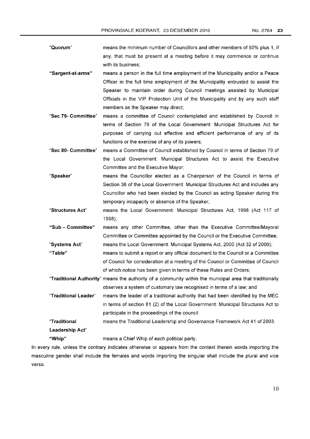| "Quorum" | means the minimum number of Councillors and other members of 50% plus 1, if |
|----------|-----------------------------------------------------------------------------|
|          | any, that must be present at a meeting before it may commence or continue   |
|          | with its business:                                                          |

- "Sargent-at-arms" means a person in the full time employment of the Municipality and/or a Peace Officer in the full time employment of the Municipality entrusted to assist the Speaker to maintain order during Council meetings assisted by Municipal Officials in the VIP Protection Unit of the Municipality and by any such staff members as the Speaker may direct;
- "Sec 79- Committee" means a committee of Council contemplated and established by Council in terms of Section 79 of the Local Government: Municipal Structures Act for purposes of carrying out effective and efficient performance of any of its functions or the exercise of any of its powers;

"Sec 80- Committee" means a Committee of Council established by Council in terms of Section 79 of the Local Government: Municipal Structures Act to assist the Executive Committee and the Executive Mayor;

- "Speaker" means the Councillor elected as a Chairperson of the Council in terms of Section 36 of the Local Government: Municipal Structures Act and includes any Councillor who had been elected by the Council as acting Speaker during the temporary incapacity or absence of the Speaker;
- "Structures Act" means the Local Government: Municipal Structures Act, 1998 (Act 117 of 1998);

"Sub - Committee" means any other Committee, other than the Executive Committee/Mayoral Committee or Committee appointed by the Council or the Executive Committee; "Systems Act" means the Local Government: Municipal Systems Act, 2000 (Act 32 of 2000);

"Table" means to submit a report or any official document to the Councilor a Committee of Council for consideration at a meeting of the Council or Committee of Council of which notice has been given in terms of these Rules and Orders;

"Traditional Authority" means the authority of a community within the municipal area that traditionally observes a system of customary law recognised in terms of a law; and

"Traditional Leader" means the leader of a traditional authority that had been identified by the MEC in terms of section 81 (2) of the Local Government: Municipal Structures Act to participate in the proceedings of the council.

```
"Traditional 
Leadership Act" 
                       means the Traditional Leadership and Governance Framework Act 41 of 2003.
```
"Whip" means a Chief Whip of each political party.

In every rule, unless the contrary indicates otherwise or appears from the context therein words importing the masculine gender shall include the females and words importing the singular shall include the plural and vice versa.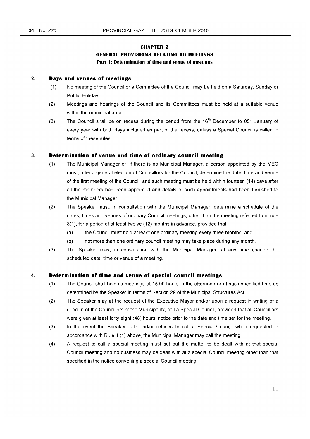# **CHAPTER 2 GENERAL PROVISIONS RELATING TO MEETINGS**  Part 1: Determination of time and venue of meetings

## 2. **Days and venues of meetings**

- (1) No meeting of the Councilor a Committee of the Council may be held on a Saturday, Sunday or Public Holiday.
- (2) Meetings and hearings of the Council and its Committees must be held at a suitable venue within the municipal area.
- (3) The Council shall be on recess during the period from the  $16<sup>th</sup>$  December to  $05<sup>th</sup>$  January of every year with both days included as part of the recess, unless a Special Council is called in terms of these rules.

## 3. **Determination of venue and time of ordinary council meeting**

- (1) The Municipal Manager or, if there is no Municipal Manager, a person appointed by the MEC must, after a general election of Councillors for the Council, determine the date, time and venue of the first meeting of the Council, and such meeting must be held within fourteen (14) days after all the members had been appointed and details of such appointments had been furnished to the Municipal Manager.
- (2) The Speaker must, in consultation with the Municipal Manager, determine a schedule of the dates, times and venues of ordinary Council meetings, other than the meeting referred to in rule  $3(1)$ , for a period of at least twelve (12) months in advance, provided that  $-$ 
	- (a) the Council must hold at least one ordinary meeting every three months; and
	- (b) not more than one ordinary council meeting may take place during any month.
- (3) The Speaker may, in consultation with the Municipal Manager, at any time change the scheduled date, time or venue of a meeting.

#### 4. **Determination of time and venue of special council meetings**

- (1) The Council shall hold its meetings at 15:00 hours in the afternoon or at such specified time as determined by the Speaker in terms of Section 29 of the Municipal Structures Act.
- (2) The Speaker may at the request of the Executive Mayor and/or upon a request in writing of a quorum of the Councillors of the Municipality, call a Special Council, provided that all Councillors were given at least forty eight (48) hours' notice prior to the date and time set for the meeting.
- (3) In the event the Speaker fails and/or refuses to call a Special Council when requested in accordance with Rule 4 (1) above, the Municipal Manager may call the meeting.
- (4) A request to call a special meeting must set out the matter to be dealt with at that special Council meeting and no business may be dealt with at a special Council meeting other than that specified in the notice convening a special Council meeting.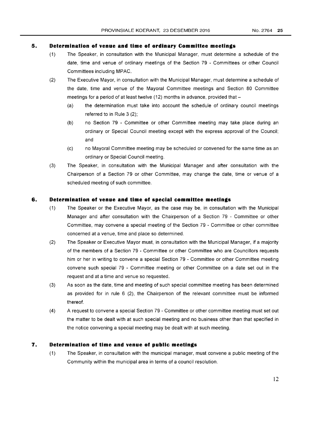## **5. Determination of venue and time of ordinary Committee meetings**

- (1) The Speaker, in consultation with the Municipal Manager, must determine a schedule of the date, time and venue of ordinary meetings of the Section 79 - Committees or other Council Committees including MPAC.
- (2) The Executive Mayor, in consultation with the Municipal Manager, must determine a schedule of the date, time and venue of the Mayoral Committee meetings and Section 80 Committee meetings for a period of at least twelve (12) months in advance, provided that -
	- (a) the determination must take into account the schedule of ordinary council meetings referred to in Rule 3 (2);
	- (b) no Section 79 Committee or other Committee meeting may take place during an ordinary or Special Council meeting except with the express approval of the Council; and
	- (c) no Mayoral Committee meeting may be scheduled or convened for the same time as an ordinary or Special Council meeting.
- (3) The Speaker, in consultation with the Municipal Manager and after consultation with the Chairperson of a Section 79 or other Committee, may change the date, time or venue of a scheduled meeting of such committee.

#### **6. Determination of venue and time of special committee meetings**

- (1) The Speaker or the Executive Mayor, as the case may be, in consultation with the Municipal Manager and after consultation with the Chairperson of a Section 79 - Committee or other Committee, may convene a special meeting of the Section 79 - Committee or other committee concerned at a venue, time and place so determined.
- (2) The Speaker or Executive Mayor must, in consultation with the Municipal Manager, if a majority of the members of a Section 79 - Committee or other Committee who are Councillors requests him or her in writing to convene a special Section 79 - Committee or other Committee meeting convene such special 79 - Committee meeting or other Committee on a date set out in the request and at a time and venue so requested.
- (3) As soon as the date, time and meeting of such special committee meeting has been determined as provided for in rule 6 (2), the Chairperson of the relevant committee must be informed thereof.
- (4) A request to convene a special Section 79 Committee or other committee meeting must set out the matter to be dealt with at such special meeting and no business other than that specified in the notice convening a special meeting may be dealt with at such meeting.

#### **7. Determination of time and venue of public meetings**

(1) The Speaker, in consultation with the municipal manager, must convene a public meeting of the Community within the municipal area in terms of a council resolution.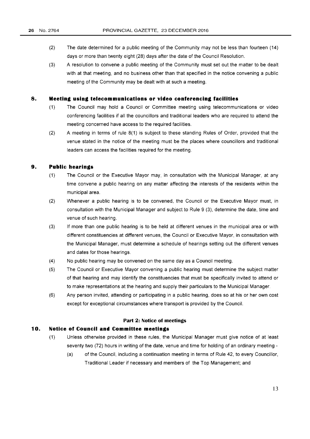- (2) The date determined for a public meeting of the Community may not be less than fourteen (14) days or more than twenty eight (28) days after the date of the Council Resolution.
- (3) A resolution to convene a public meeting of the Community must set out the matter to be dealt with at that meeting, and no business other than that specified in the notice convening a public meeting of the Community may be dealt with at such a meeting.

## **8. Meeting using telecommunications or video conferencing facilities**

- (1) The Council may hold a Council or Committee meeting using telecommunications or video conferencing facilities if all the councillors and traditional leaders who are required to attend the meeting concerned have access to the required facilities.
- (2) A meeting in terms of rule 8(1) is subject to these standing Rules of Order, provided that the venue stated in the notice of the meeting must be the places where councillors and traditional leaders can access the facilities required for the meeting.

## **9. Public hearings**

- (1) The Council or the Executive Mayor may, in consultation with the Municipal Manager, at any time convene a public hearing on any matter affecting the interests of the residents within the municipal area.
- (2) Whenever a public hearing is to be convened, the Council or the Executive Mayor must, in consultation with the Municipal Manager and subject to Rule 9 (3), determine the date, time and venue of such hearing.
- (3) If more than one public hearing is to be held at different venues in the municipal area or with different constituencies at different venues, the Councilor Executive Mayor, in consultation with the Municipal Manager, must determine a schedule of hearings setting out the different venues and dates for those hearings.
- (4) No public hearing may be convened on the same day as a Council meeting.
- (5) The Councilor Executive Mayor convening a public hearing must determine the subject matter of that hearing and may identify the constituencies that must be specifically invited to attend or to make representations at the hearing and supply their particulars to the Municipal Manager.
- (6) Any person invited, attending or participating in a public hearing, does so at his or her own cost except for exceptional circumstances where transport is provided by the Council.

#### **Part 2: Notice of meetings**

## **10. Notice of Council and Committee meetings**

- (1) Unless otherwise provided in these rules, the Municipal Manager must give notice of at least seventy two (72) hours in writing of the date, venue and time for holding of an ordinary meeting -
	- (a) of the Council, including a continuation meeting in terms of Rule 42, to every Councillor, Traditional Leader if necessary and members of the Top Management; and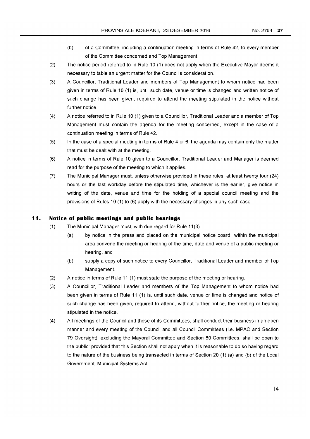- (b) of a Committee, including a continuation meeting in terms of Rule 42, to every member of the Committee concerned and Top Management.
- (2) The notice period referred to in Rule 10 (1) does not apply when the Executive Mayor deems it necessary to table an urgent matter for the Council's consideration.
- (3) A Councillor, Traditional Leader and members of Top Management to whom notice had been given in terms of Rule 10 (1) is, until such date, venue or time is changed and written notice of such change has been given, required to attend the meeting stipulated in the notice without further notice.
- (4) A notice referred to in Rule 10 (1) given to a Councillor, Traditional Leader and a member of Top Management must contain the agenda for the meeting concerned, except in the case of a continuation meeting in terms of Rule 42.
- (5) In the case of a special meeting in terms of Rule 4 or 6, the agenda may contain only the matter that must be dealt with at the meeting.
- (6) A notice in terms of Rule 10 given to a Councillor, Traditional Leader and Manager is deemed read for the purpose of the meeting to which it applies.
- (7) The Municipal Manager must, unless otherwise provided in these rules, at least twenty four (24) hours or the last workday before the stipulated time, whichever is the earlier, give notice in writing of the date, venue and time for the holding of a special council meeting and the provisions of Rules 10 (1) to (6) apply with the necessary changes in any such case.

## **11. Notice of public meetings and public hearings**

- $(1)$  The Municipal Manager must, with due regard for Rule 11 $(3)$ :
	- (a) by notice in the press and placed on the municipal notice board within the municipal area convene the meeting or hearing of the time, date and venue of a public meeting or hearing, and
	- (b) supply a copy of such notice to every Councillor, Traditional Leader and member of Top Management.
- (2) A notice in terms of Rule 11 (1) must state the purpose of the meeting or hearing.
- (3) A Councillor, Traditional Leader and members of the Top Management to whom notice had been given in terms of Rule 11 (1) is, until such date, venue or time is changed and notice of such change has been given, required to attend, without further notice, the meeting or hearing stipulated in the notice.
- (4) All meetings of the Council and those of its Committees, shall conduct their business in an open manner and every meeting of the Council and all Council Committees (i.e. MPAC and Section 79 Oversight), excluding the Mayoral Committee and Section 80 Committees, shall be open to the public; provided that this Section shall not apply when it is reasonable to do so having regard to the nature of the business being transacted in terms of Section 20 (1) (a) and (b) of the Local Government: Municipal Systems Act.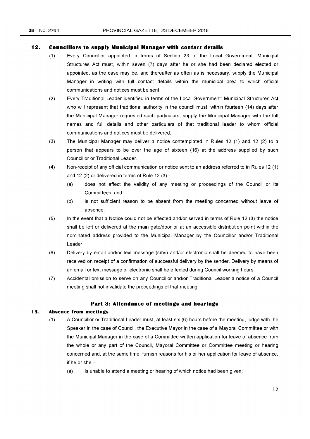#### **12. Councillors to supply Municipal Manager with contact details**

- (1) Every Councillor appointed in terms of Section 23 of the Local Government: Municipal Structures Act must, within seven (7) days after he or she had been declared elected or appointed, as the case may be, and thereafter as often as is necessary, supply the Municipal Manager in writing with full contact details within the municipal area to which official communications and notices must be sent.
- (2) Every Traditional Leader identified in terms of the Local Government: Municipal Structures Act who will represent that traditional authority in the council must, within fourteen (14) days after the Municipal Manager requested such particulars, supply the Municipal Manager with the full names and full details and other particulars of that traditional leader to whom official communications and notices must be delivered.
- (3) The Municipal Manager may deliver a notice contemplated in Rules 12 (1) and 12 (2) to a person that appears to be over the age of sixteen (16) at the address supplied by such Councillor or Traditional Leader.
- (4) Non-receipt of any official communication or notice sent to an address referred to in Rules 12 (1) and 12 (2) or delivered in terms of Rule 12 (3) -
	- (a) does not affect the validity of any meeting or proceedings of the Council or its Committees; and
	- (b) is not sufficient reason to be absent from the meeting concerned without leave of absence.
- (5) In the event that a Notice could not be effected and/or served in terms of Rule 12 (3) the notice shall be left or delivered at the main gate/door or at an accessible distribution point within the nominated address provided to the Municipal Manager by the Councillor and/or Traditional Leader.
- (6) Delivery by email and/or text message (sms) and/or electronic shall be deemed to have been received on receipt of a confirmation of successful delivery by the sender. Delivery by means of an email or text message or electronic shall be effected during Council working hours.
- (7) Accidental omission to serve on any Councillor and/or Traditional Leader a notice of a Council meeting shall not invalidate the proceedings of that meeting.

#### **Part 3: Attendance of meetings and hearings**

#### **13. Absence from meetings**

- (1) A Councillor or Traditional Leader must, at least six (6) hours before the meeting, lodge with the Speaker in the case of Council, the Executive Mayor in the case of a Mayoral Committee or with the Municipal Manager in the case of a Committee written application for leave of absence from the whole or any part of the Council, Mayoral Committee or Committee meeting or hearing concerned and, at the same time, furnish reasons for his or her application for leave of absence, if he or she $-$ 
	- (a) is unable to attend a meeting or hearing of which notice had been given;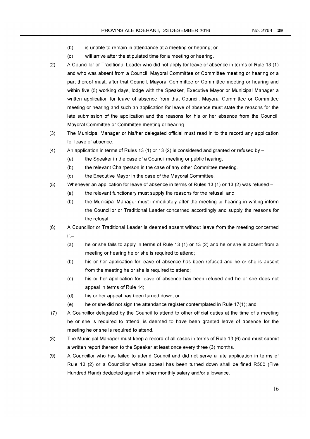- (b) is unable to remain in attendance at a meeting or hearing; or
- (c) will arrive after the stipulated time for a meeting or hearing.
- (2) A Councillor or Traditional Leader who did not apply for leave of absence in terms of Rule 13 (1) and who was absent from a Council, Mayoral Committee or Committee meeting or hearing or a part thereof must, after that Council, Mayoral Committee or Committee meeting or hearing and within five (5) working days, lodge with the Speaker, Executive Mayor or Municipal Manager a written application for leave of absence from that Council, Mayoral Committee or Committee meeting or hearing and such an application for leave of absence must state the reasons for the late submission of the application and the reasons for his or her absence from the Council, Mayoral Committee or Committee meeting or hearing.
- (3) The Municipal Manager or his/her delegated official must read in to the record any application for leave of absence.
- (4) An application in terms of Rules 13 (1) or 13 (2) is considered and granted or refused by  $-$ 
	- (a) the Speaker in the case of a Council meeting or public hearing;
	- (b) the relevant Chairperson in the case of any other Committee meeting.
	- (c) the Executive Mayor in the case of the Mayoral Committee.
- (5) Whenever an application for leave of absence in terms of Rules 13 (1) or 13 (2) was refused
	- (a) the relevant functionary must supply the reasons for the refusal; and
	- (b) the Municipal Manager must immediately after the meeting or hearing in writing inform the Councillor or Traditional Leader concerned accordingly and supply the reasons for the refusal.
- (6) A Councillor or Traditional Leader is deemed absent without leave from the meeting concerned if:-
	- (a) he or she fails to apply in terms of Rule 13 (1) or 13 (2) and he or she is absent from a meeting or hearing he or she is required to attend;
	- (b) his or her application for leave of absence has been refused and he or she is absent from the meeting he or she is required to attend;
	- (c) his or her application for leave of absence has been refused and he or she does not appeal in terms of Rule 14;
	- (d) his or her appeal has been turned down; or
	- (e) he or she did not sign the attendance register contemplated in Rule 17(1); and
- (7) A Councillor delegated by the Council to attend to other official duties at the time of a meeting he or she is required to attend, is deemed to have been granted leave of absence for the meeting he or she is required to attend.
- (8) The Municipal Manager must keep a record of all cases in terms of Rule 13 (6) and must submit a written report thereon to the Speaker at least once every three (3) months.
- (9) A Councillor who has failed to attend Council and did not serve a late application in terms of Rule 13 (2) or a Councillor whose appeal has been turned down shall be fined R500 (Five Hundred Rand) deducted against his/her monthly salary and/or allowance.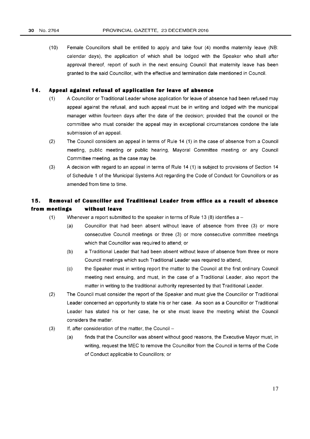(10) Female Councillors shall be entitled to apply and take four (4) months maternity leave (NB: calendar days), the application of which shall be lodged with the Speaker who shall after approval thereof, report of such in the next ensuing Council that maternity leave has been granted to the said Councillor, with the effective and termination date mentioned in Council.

## **14. Appeal against refusal of application for leave of absence**

- (1) A Councillor or Traditional Leader whose application for leave of absence had been refused may appeal against the refusal, and such appeal must be in writing and lodged with the municipal manager within fourteen days after the date of the decision; provided that the council or the committee who must consider the appeal may in exceptional circumstances condone the late submission of an appeal.
- (2) The Council considers an appeal in terms of Rule 14 (1) in the case of absence from a Council meeting, public meeting or public hearing, Mayoral Committee meeting or any Council Committee meeting, as the case may be.
- (3) A decision with regard to an appeal in terms of Rule 14 (1) is subject to provisions of Section 14 of Schedule 1 of the Municipal Systems Act regarding the Code of Conduct for Councillors or as amended from time to time.

# **15. Removal of Councillor and Traditional Leader from office as a result of absence from meetings without leave**

- (1) Whenever a report submitted to the speaker in terms of Rule 13 (8) identifies a  $-$ 
	- (a) Councillor that had been absent without leave of absence from three (3) or more consecutive Council meetings or three (3) or more consecutive committee meetings which that Councillor was required to attend; or
		- (b) a Traditional Leader that had been absent without leave of absence from three or more Council meetings which such Traditional Leader was required to attend,
		- (c) the Speaker must in writing report the matter to the Council at the first ordinary Council meeting next ensuing, and must, in the case of a Traditional Leader, also report the matter in writing to the traditional authority represented by that Traditional Leader.
- (2) The Council must consider the report of the Speaker and must give the Councillor or Traditional Leader concerned an opportunity to state his or her case. As soon as a Councillor or Traditional Leader has stated his or her case, he or she must leave the meeting whilst the Council considers the matter.
- $(3)$  If, after consideration of the matter, the Council -
	- (a) finds that the Councillor was absent without good reasons, the Executive Mayor must, in writing, request the MEC to remove the Councillor from the Council in terms of the Code of Conduct applicable to Councillors; or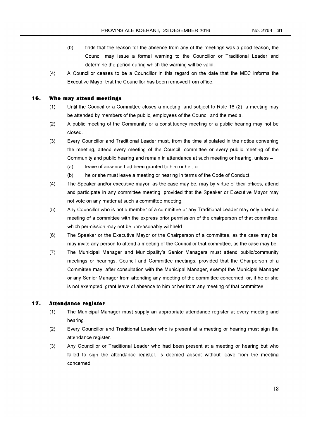- (b) finds that the reason for the absence from any of the meetings was a good reason, the Council may issue a formal warning to the Councillor or Traditional Leader and determine the period during which the warning will be valid.
- (4) A Councillor ceases to be a Councillor in this regard on the date that the MEC informs the Executive Mayor that the Councillor has been removed from office.

#### **16. Who may attend meetings**

- $(1)$  Until the Council or a Committee closes a meeting, and subject to Rule 16 (2), a meeting may be attended by members of the public, employees of the Council and the media.
- (2) A public meeting of the Community or a constituency meeting or a public hearing may not be closed.
- (3) Every Councillor and Traditional Leader must, from the time stipulated in the notice convening the meeting, attend every meeting of the Council, committee or every public meeting of the Community and public hearing and remain in attendance at such meeting or hearing, unless -
	- (a) leave of absence had been granted to him or her; or
	- (b) he or she must leave a meeting or hearing in terms of the Code of Conduct.
- (4) The Speaker and/or executive mayor, as the case may be, may by virtue of their offices, attend and participate in any committee meeting, provided that the Speaker or Executive Mayor may not vote on any matter at such a committee meeting.
- (5) Any Councillor who is not a member of a committee or any Traditional Leader may only attend a meeting of a committee with the express prior permission of the chairperson of that committee, which permission may not be unreasonably withheld.
- (6) The Speaker or the Executive Mayor or the Chairperson of a committee, as the case may be, may invite any person to attend a meeting of the Council or that committee, as the case may be.
- (7) The Municipal Manager and Municipality's Senior Managers must attend public/community meetings or hearings, Council and Committee meetings, provided that the Chairperson of a Committee may, after consultation with the Municipal Manager, exempt the Municipal Manager or any Senior Manager from attending any meeting of the committee concerned, or, if he or she is not exempted, grant leave of absence to him or her from any meeting of that committee.

#### **17. Attendance register**

- (1) The Municipal Manager must supply an appropriate attendance register at every meeting and hearing.
- (2) Every Councillor and Traditional Leader who is present at a meeting or hearing must sign the attendance register.
- (3) Any Councillor or Traditional Leader who had been present at a meeting or hearing but who failed to sign the attendance register, is deemed absent without leave from the meeting concerned.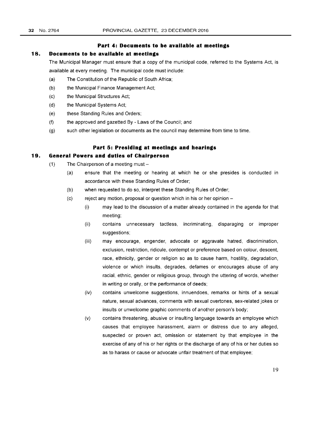#### **Part 4: Documents to be available at meetings**

## **18. Documents to be available at meetings**

The Municipal Manager must ensure that a copy of the municipal code, referred to the Systems Act, is available at every meeting. The municipal code must include:

- (a) The Constitution of the Republic of South Africa;
- (b) the Municipal Finance Management Act;
- (c) the Municipal Structures Act;
- (d) the Municipal Systems Act;
- (e) these Standing Rules and Orders;
- (f) the approved and gazetted By Laws of the Council; and
- (g) such other legislation or documents as the council may determine from time to time.

## **Part 5: Presiding at meetings and hearings**

## **19. General Powers and duties of Chairperson**

- $(1)$  The Chairperson of a meeting must -
	- (a) ensure that the meeting or hearing at which he or she presides is conducted in accordance with these Standing Rules of Order;
	- (b) when requested to do so, interpret these Standing Rules of Order;
	- $(c)$  reject any motion, proposal or question which in his or her opinion -
		- (i) may lead to the discussion of a matter already contained in the agenda for that meeting;
		- (ii) contains unnecessary tactless, incriminating, disparaging or improper suggestions;
		- (iii) may encourage, engender, advocate or aggravate hatred, discrimination, exclusion, restriction, ridicule, contempt or preference based on colour, descent, race, ethnicity, gender or religion so as to cause harm, hostility, degradation, violence or which insults, degrades, defames or encourages abuse of any racial, ethnic, gender or religious group, through the uttering of words, whether in writing or orally, or the performance of deeds;
		- (iv) contains unwelcome suggestions, innuendoes, remarks or hints of a sexual nature, sexual advances, comments with sexual overtones, sex-related jokes or insults or unwelcome graphic comments of another person's body;
		- (v) contains threatening, abusive or insulting language towards an employee which causes that employee harassment, alarm or distress due to any alleged, suspected or proven act, omission or statement by that employee in the exercise of any of his or her rights or the discharge of any of his or her duties so as to harass or cause or advocate unfair treatment of that employee;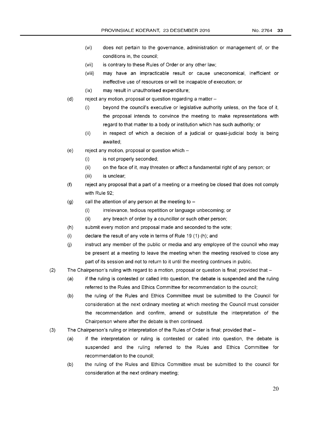- (vi) does not pertain to the governance, administration or management of, or the conditions in, the council;
- (vii) is contrary to these Rules of Order or any other law;
- (viii) may have an impracticable result or cause uneconomical, inefficient or ineffective use of resources or will be incapable of execution; or
- (ix) may result in unauthorised expenditure;
- (d) reject any motion, proposal or question regarding a matter-
	- (i) beyond the council's executive or legislative authority unless, on the face of it, the proposal intends to convince the meeting to make representations with regard to that matter to a body or institution which has such authority; or
	- (ii) in respect of which a decision of a judicial or quasi-judicial body is being awaited;
- $(e)$  reject any motion, proposal or question which  $-$ 
	- (i) is not properly seconded;
	- (ii) on the face of it, may threaten or affect a fundamental right of any person; or
	- (iii) is unclear;
- (f) reject any proposal that a part of a meeting or a meeting be closed that does not comply with Rule 92;
- (g) call the attention of any person at the meeting to  $-$ 
	- (i) irrelevance, tedious repetition or language unbecoming; or
	- (ii) any breach of order by a councillor or such other person;
- (h) submit every motion and proposal made and seconded to the vote;
- (i) declare the result of any vote in terms of Rule 19 (1) (h); and
- $(i)$  instruct any member of the public or media and any employee of the council who may be present at a meeting to leave the meeting when the meeting resolved to close any part of its session and not to return to it until the meeting continues in public.
- (2) The Chairperson's ruling with regard to a motion, proposal or question is final; provided that
	- (a) if the ruling is contested or called into question, the debate is suspended and the ruling referred to the Rules and Ethics Committee for recommendation to the council;
	- (b) the ruling of the Rules and Ethics Committee must be submitted to the Council for consideration at the next ordinary meeting at which meeting the Council must consider the recommendation and confirm, amend or substitute the interpretation of the Chairperson where after the debate is then continued.
- (3) The Chairperson's ruling or interpretation of the Rules of Order is final; provided that -
	- (a) if the interpretation or ruling is contested or called into question, the debate is suspended and the ruling referred to the Rules and Ethics Committee for recommendation to the council;
	- (b) the ruling of the Rules and Ethics Committee must be submitted to the council for consideration at the next ordinary meeting;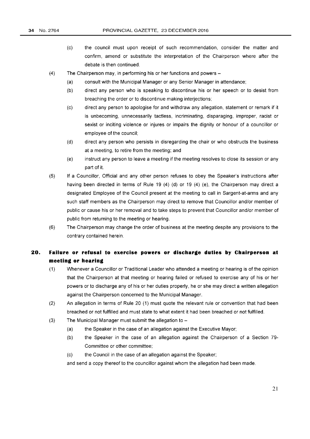- $(c)$ the council must upon receipt of such recommendation, consider the matter and confirm, amend or substitute the interpretation of the Chairperson where after the debate is then continued.
- (4) The Chairperson may, in performing his or her functions and powers  $-$ 
	- (a) consult with the Municipal Manager or any Senior Manager in attendance;
	- (b) direct any person who is speaking to discontinue his or her speech or to desist from breaching the order or to discontinue making interjections;
	- (c) direct any person to apologise for and withdraw any allegation, statement or remark if it is unbecoming, unnecessarily tactless, incriminating, disparaging, improper, racist or sexist or inciting violence or injures or impairs the dignity or honour of a councillor or employee of the council;
	- (d) direct any person who persists in disregarding the chair or who obstructs the business at a meeting, to retire from the meeting; and
	- (e) instruct any person to leave a meeting if the meeting resolves to close its session or any part of it.
- (5) If a Councillor, Official and any other person refuses to obey the Speaker's instructions after having been directed in terms of Rule 19 (4) (d) or 19 (4) (e), the Chairperson may direct a designated Employee of the Council present at the meeting to call in Sargent-at-arms and any such staff members as the Chairperson may direct to remove that Councillor and/or member of public or cause his or her removal and to take steps to prevent that Councillor and/or member of public from returning to the meeting or hearing.
- (6) The Chairperson may change the order of business at the meeting despite any provisions to the contrary contained herein.

# **20. Failure or refusal to exercise powers or discharge duties by Chairperson at meeting or hearing**

- (1) Whenever a Councillor or Traditional Leader who attended a meeting or hearing is of the opinion that the Chairperson at that meeting or hearing failed or refused to exercise any of his or her powers or to discharge any of his or her duties properly, he or she may direct a written allegation against the Chairperson concerned to the Municipal Manager.
- (2) An allegation in terms of Rule 20 (1) must quote the relevant rule or convention that had been breached or not fulfilled and must state to what extent it had been breached or not fulfilled.
- $(3)$  The Municipal Manager must submit the allegation to  $-$ 
	- (a) the Speaker in the case of an allegation against the Executive Mayor;
	- (b) the Speaker in the case of an allegation against the Chairperson of a Section 79- Committee or other committee;
	- (c) the Council in the case of an allegation against the Speaker;

and send a copy thereof to the councillor against whom the allegation had been made.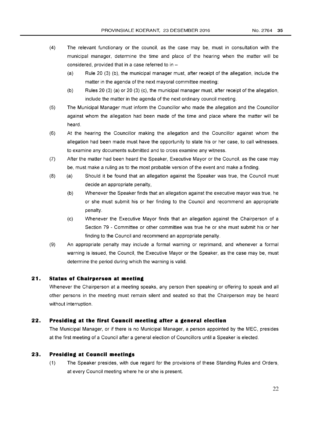- (4) The relevant functionary or the council, as the case may be, must in consultation with the municipal manager, determine the time and place of the hearing when the matter will be considered, provided that in a case referred to in  $-$ 
	- (a) Rule 20 (3) (b), the municipal manager must, after receipt of the allegation, include the matter in the agenda of the next mayoral committee meeting;
	- (b) Rules 20 (3) (a) or 20 (3) (c), the municipal manager must, after receipt of the allegation, include the matter in the agenda of the next ordinary council meeting.
- (5) The Municipal Manager must inform the Councillor who made the allegation and the Councillor against whom the allegation had been made of the time and place where the matter will be heard.
- (6) At the hearing the Councillor making the allegation and the Councillor against whom the allegation had been made must have the opportunity to state his or her case, to call witnesses, to examine any documents submitted and to cross examine any witness.
- (7) After the matter had been heard the Speaker, Executive Mayor or the Council, as the case may be, must make a ruling as to the most probable version of the event and make a finding.
- (8) (a) Should it be found that an allegation against the Speaker was true, the Council must decide an appropriate penalty,
	- (b) Whenever the Speaker finds that an allegation against the executive mayor was true, he or she must submit his or her finding to the Council and recommend an appropriate penalty.
	- (c) Whenever the Executive Mayor finds that an allegation against the Chairperson of a Section 79 - Committee or other committee was true he or she must submit his or her finding to the Council and recommend an appropriate penalty.
- (9) An appropriate penalty may include a formal warning or reprimand, and whenever a formal warning is issued, the Council, the Executive Mayor or the Speaker, as the case may be, must determine the period during which the warning is valid.

## **21. Status of Chairperson at meeting**

Whenever the Chairperson at a meeting speaks, any person then speaking or offering to speak and all other persons in the meeting must remain silent and seated so that the Chairperson may be heard without interruption.

## **22. Presiding at the first Council meeting after a general election**

The Municipal Manager, or if there is no Municipal Manager, a person appointed by the MEC, presides at the first meeting of a Council after a general election of Councillors until a Speaker is elected.

## **23. Presiding at Council meetings**

(1) The Speaker presides, with due regard for the provisions of these Standing Rules and Orders, at every Council meeting where he or she is present.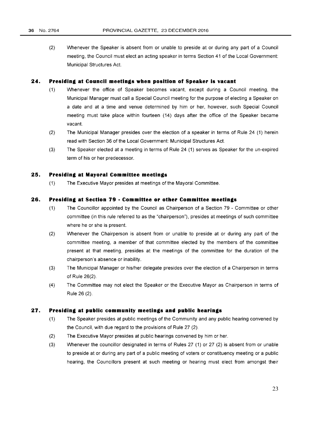(2) Whenever the Speaker is absent from or unable to preside at or during any part of a Council meeting, the Council must elect an acting speaker in terms Section 41 of the Local Government: Municipal Structures Act.

#### **24. Presiding at Council meetings when position of Speaker is vacant**

- (1) Whenever the office of Speaker becomes vacant, except during a Council meeting, the Municipal Manager must call a Special Council meeting for the purpose of electing a Speaker on a date and at a time and venue determined by him or her, however, such Special Council meeting must take place within fourteen (14) days after the office of the Speaker became vacant.
- (2) The Municipal Manager presides over the election of a speaker in terms of Rule 24 (1) herein read with Section 36 of the Local Government: Municipal Structures Act.
- (3) The Speaker elected at a meeting in terms of Rule 24 (1) serves as Speaker for the un-expired term of his or her predecessor.

## **25. Presiding at Mayoral Committee meetings**

(1) The Executive Mayor presides at meetings of the Mayoral Committee.

## **26. Presiding at Section 79 - Committee or other Committee meetings**

- (1) The Councillor appointed by the Council as Chairperson of a Section 79 Committee or other committee (in this rule referred to as the "chairperson"), presides at meetings of such committee where he or she is present.
- (2) Whenever the Chairperson is absent from or unable to preside at or during any part of the committee meeting, a member of that committee elected by the members of the committee present at that meeting, presides at the meetings of the committee for the duration of the chairperson's absence or inability.
- (3) The Municipal Manager or his/her delegate presides over the election of a Chairperson in terms of Rule 26(2).
- (4) The Committee may not elect the Speaker or the Executive Mayor as Chairperson in terms of Rule 26 (2).

## **27. Presiding at public community meetings and public hearings**

- (1) The Speaker presides at public meetings of the Community and any public hearing convened by the Council, with due regard to the provisions of Rule 27 (2).
- (2) The Executive Mayor presides at public hearings convened by him or her.
- (3) Whenever the councillor designated in terms of Rules 27 (1) or 27 (2) is absent from or unable to preside at or during any part of a public meeting of voters or constituency meeting or a public hearing, the Councillors present at such meeting or hearing must elect from amongst their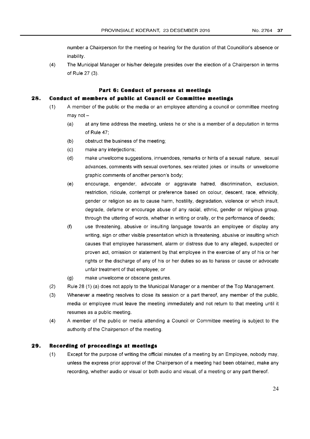number a Chairperson for the meeting or hearing for the duration of that Councillor's absence or inability.

(4) The Municipal Manager or his/her delegate presides over the election of a Chairperson in terms of Rule 27 (3).

# **Part 6: Conduct of persons at meetings**

# **28. Conduct of members of public at Council or Committee meetings**

- $(1)$  A member of the public or the media or an employee attending a council or committee meeting may not $-$ 
	- (a) at any time address the meeting, unless he or she is a member of a deputation in terms of Rule 47;
	- (b) obstruct the business of the meeting;
	- (c) make any interjections;
	- (d) make unwelcome suggestions, innuendoes, remarks or hints of a sexual nature, sexual advances, comments with sexual overtones, sex-related jokes or insults or unwelcome graphic comments of another person's body;
	- (e) encourage, engender, advocate or aggravate hatred, discrimination, exclusion, restriction, ridicule, contempt or preference based on colour, descent, race, ethnicity, gender or religion so as to cause harm, hostility, degradation, violence or which insult, degrade, defame or encourage abuse of any racial, ethnic, gender or religious group, through the uttering of words, whether in writing or orally, or the performance of deeds;
	- (f) use threatening, abusive or insulting language towards an employee or display any writing, sign or other visible presentation which is threatening, abusive or insulting which causes that employee harassment, alarm or distress due to any alleged, suspected or proven act, omission or statement by that employee in the exercise of any of his or her rights or the discharge of any of his or her duties so as to harass or cause or advocate unfair treatment of that employee; or
	- (g) make unwelcome or obscene gestures.
- (2) Rule 28 (1) (a) does not apply to the Municipal Manager or a member of the Top Management.
- (3) Whenever a meeting resolves to close its session or a part thereof, any member of the public, media or employee must leave the meeting immediately and not return to that meeting until it resumes as a public meeting.
- (4) A member of the public or media attending a Councilor Committee meeting is subject to the authority of the Chairperson of the meeting.

#### **29. Recording of proceedings at meetings**

(1) Except for the purpose of writing the official minutes of a meeting by an Employee, nobody may, unless the express prior approval of the Chairperson of a meeting had been obtained, make any recording, whether audio or visual or both audio and visual, of a meeting or any part thereof.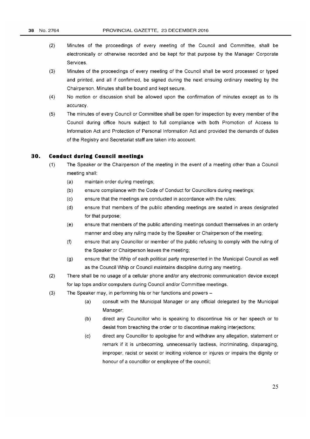- (2) Minutes of the proceedings of every meeting of the Council and Committee, shall be electronically or otherwise recorded and be kept for that purpose by the Manager Corporate Services.
- (3) Minutes of the proceedings of every meeting of the Council shall be word processed or typed and printed, and all if confirmed, be signed during the next ensuing ordinary meeting by the Chairperson. Minutes shall be bound and kept secure.
- (4) No motion or discussion shall be allowed upon the confirmation of minutes except as to its accuracy.
- (5) The minutes of every Council or Committee shall be open for inspection by every member of the Council during office hours subject to full compliance with both Promotion of Access to Information Act and Protection of Personal Information Act and provided the demands of duties of the Registry and Secretariat staff are taken into account.

# **30. Conduct during Council meetings**

- (1) The Speaker or the Chairperson of the meeting in the event of a meeting other than a Council meeting shall:
	- (a) maintain order during meetings;
	- (b) ensure compliance with the Code of Conduct for Councillors during meetings;
	- (c) ensure that the meetings are conducted in accordance with the rules;
	- (d) ensure that members of the public attending meetings are seated in areas designated for that purpose;
	- (e) ensure that members of the public attending meetings conduct themselves in an orderly manner and obey any ruling made by the Speaker or Chairperson of the meeting;
	- (f) ensure that any Councillor or member of the public refusing to comply with the ruling of the Speaker or Chairperson leaves the meeting;
	- (g) ensure that the Whip of each political party represented in the Municipal Council as well as the Council Whip or Council maintains discipline during any meeting.
- (2) There shall be no usage of a cellular phone and/or any electronic communication device except for lap tops and/or computers during Council and/or Committee meetings.
- (3) The Speaker may, in performing his or her functions and powers -
	- (a) consult with the Municipal Manager or any official delegated by the Municipal Manager;
	- (b) direct any Councillor who is speaking to discontinue his or her speech or to desist from breaching the order or to discontinue making interjections;
	- (c) direct any Councillor to apologise for and withdraw any allegation, statement or remark if it is unbecoming, unnecessarily tactless, incriminating, disparaging, improper, racist or sexist or inciting violence or injures or impairs the dignity or honour of a councillor or employee of the council;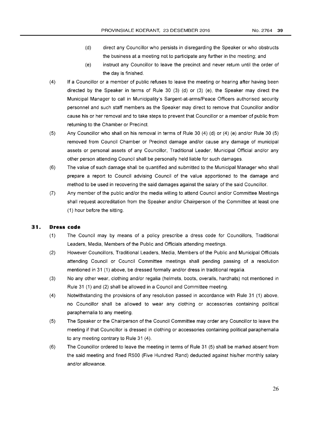- (d) direct any Councillor who persists in disregarding the Speaker or who obstructs the business at a meeting not to participate any further in the meeting; and
- (e) instruct any Councillor to leave the precinct and never return until the order of the day is finished.
- (4) If a Councillor or a member of public refuses to leave the meeting or hearing after having been directed by the Speaker in terms of Rule 30 (3) (d) or (3) (e), the Speaker may direct the Municipal Manager to call in Municipality's Sargent-at-arms/Peace Officers authorised security personnel and such staff members as the Speaker may direct to remove that Councillor and/or cause his or her removal and to take steps to prevent that Councillor or a member of public from returning to the Chamber or Precinct.
- (5) Any Councillor who shall on his removal in terms of Rule 30 (4) (d) or (4) (e) and/or Rule 30 (5) removed from Council Chamber or Precinct damage and/or cause any damage of municipal assets or personal assets of any Councillor, Traditional Leader, Municipal Official and/or any other person attending Council shall be personally held liable for such damages.
- (6) The value of such damage shall be quantified and submitted to the Municipal Manager who shall prepare a report to Council advising Council of the value apportioned to the damage and method to be used in recovering the said damages against the salary of the said Councillor.
- (7) Any member of the public and/or the media willing to attend Council and/or Committee Meetings shall request accreditation from the Speaker and/or Chairperson of the Committee at least one (1) hour before the sitting.

# **31 . Dress code**

- (1) The Council may by means of a policy prescribe a dress code for Councillors, Traditional Leaders, Media, Members of the Public and Officials attending meetings.
- (2) However Councillors, Traditional Leaders, Media, Members of the Public and Municipal Officials attending Council or Council Committee meetings shall pending passing of a resolution mentioned in 31 (1) above, be dressed formally and/or dress in traditional regalia.
- (3) No any other wear, clothing and/or regalia (helmets, boots, overalls, hardhats) not mentioned in Rule 31 (1) and (2) shall be allowed in a Council and Committee meeting.
- (4) Notwithstanding the provisions of any resolution passed in accordance with Rule 31 (1) above, no Councillor shall be allowed to wear any clothing or accessories containing political paraphernalia to any meeting.
- (5) The Speaker or the Chairperson of the Council Committee may order any Councillor to leave the meeting if that Councillor is dressed in clothing or accessories containing political paraphernalia to any meeting contrary to Rule 31 (4).
- (6) The Councillor ordered to leave the meeting in terms of Rule 31 (5) shall be marked absent from the said meeting and fined R500 (Five Hundred Rand) deducted against his/her monthly salary and/or allowance.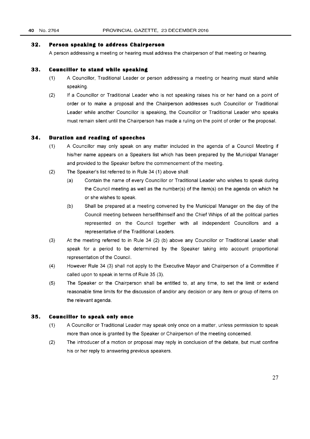#### **32. Person speaking to address Chairperson**

A person addressing a meeting or hearing must address the chairperson of that meeting or hearing.

#### **33. Councillor to stand while speaking**

- (1) A Councillor, Traditional Leader or person addressing a meeting or hearing must stand while speaking.
- (2) If a Councillor or Traditional Leader who is not speaking raises his or her hand on a point of order or to make a proposal and the Chairperson addresses such Councillor or Traditional Leader while another Councillor is speaking, the Councillor or Traditional Leader who speaks must remain silent until the Chairperson has made a ruling on the point of order or the proposal.

#### **34. Duration and reading of speeches**

- (1) A Councillor may only speak on any matter included in the agenda of a Council Meeting if his/her name appears on a Speakers list which has been prepared by the Municipal Manager and provided to the Speaker before the commencement of the meeting.
- (2) The Speaker's list referred to in Rule 34 (1) above shall:
	- (a) Contain the name of every Councillor or Traditional Leader who wishes to speak during the Council meeting as well as the number(s) of the item(s) on the agenda on which he or she wishes to speak.
	- (b) Shall be prepared at a meeting convened by the Municipal Manager on the day of the Council meeting between herself/himself and the Chief Whips of all the political parties represented on the Council together with all independent Councillors and a representative of the Traditional Leaders.
- (3) At the meeting referred to in Rule 34 (2) (b) above any Councillor or Traditional Leader shall speak for a period to be determined by the Speaker taking into account proportional representation of the Council.
- (4) However Rule 34 (3) shall not apply to the Executive Mayor and Chairperson of a Committee if called upon to speak in terms of Rule 35 (3).
- (5) The Speaker or the Chairperson shall be entitled to, at any time, to set the limit or extend reasonable time limits for the discussion of and/or any decision or any item or group of items on the relevant agenda.

#### **35. Councillor to speak only once**

- (1) A Councillor or Traditional Leader may speak only once on a matter, unless permission to speak more than once is granted by the Speaker or Chairperson of the meeting concerned.
- (2) The introducer of a motion or proposal may reply in conclusion of the debate, but must confine his or her reply to answering previous speakers.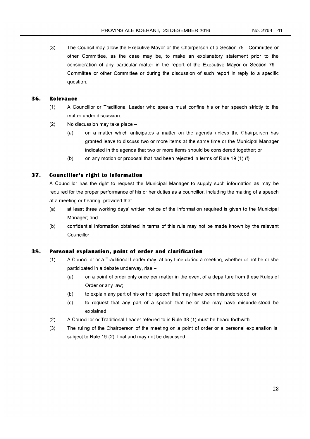(3) The Council may allow the Executive Mayor or the Chairperson of a Section 79 - Committee or other Committee, as the case may be, to make an explanatory statement prior to the consideration of any particular matter in the report of the Executive Mayor or Section 79 - Committee or other Committee or during the discussion of such report in reply to a specific question.

# **36. Relevance**

- (1) A Councillor or Traditional Leader who speaks must confine his or her speech strictly to the matter under discussion.
- $(2)$  No discussion may take place  $-$ 
	- (a) on a matter which anticipates a matter on the agenda unless the Chairperson has granted leave to discuss two or more items at the same time or the Municipal Manager indicated in the agenda that two or more items should be considered together; or
	- (b) on any motion or proposal that had been rejected in terms of Rule 19 (1) (f).

# **37. Councillor's right to information**

A Councillor has the right to request the Municipal Manager to supply such information as may be required for the proper performance of his or her duties as a councillor, including the making of a speech at a meeting or hearing, provided that  $-$ 

- (a) at least three working days' written notice of the information required is given to the Municipal Manager; and
- (b) confidential information obtained in terms of this rule may not be made known by the relevant Councillor.

## **38. Personal explanation, point of order and clarification**

- (1) A Councillor or a Traditional Leader may, at any time during a meeting, whether or not he or she participated in a debate underway, rise -
	- (a) on a point of order only once per matter in the event of a departure from these Rules of Order or any law;
	- (b) to explain any part of his or her speech that may have been misunderstood; or
	- (c) to request that any part of a speech that he or she may have misunderstood be explained.
- (2) A Councillor or Traditional Leader referred to in Rule 38 (1) must be heard forthwith.
- (3) The ruling of the Chairperson of the meeting on a point of order or a personal explanation is, subject to Rule 19 (2), final and may not be discussed.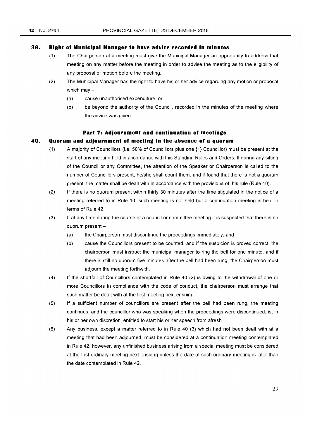#### **39. Right of Municipal Manager to have advice recorded in minutes**

- (1) The Chairperson at a meeting must give the Municipal Manager an opportunity to address that meeting on any matter before the meeting in order to advise the meeting as to the eligibility of any proposal or motion before the meeting.
- (2) The Municipal Manager has the right to have his or her advice regarding any motion or proposal which may  $-$ 
	- (a) cause unauthorised expenditure; or
	- (b) be beyond the authority of the Council, recorded in the minutes of the meeting where the advice was given.

#### **Part 7: Adjournment and continuation of meetings**

## **40. Quorum and adjournment of meeting in the absence of a quorum**

- (1) A majority of Councillors (i.e. 50% of Councillors plus one {1} Councillor) must be present at the start of any meeting held in accordance with this Standing Rules and Orders. If during any sitting of the Council or any Committee, the attention of the Speaker or Chairperson is called to the number of Councillors present, he/she shall count them, and if found that there is not a quorum present, the matter shall be dealt with in accordance with the provisions of this rule (Rule 40).
- (2) If there is no quorum present within thirty 30 minutes after the time stipulated in the notice of a meeting referred to in Rule 10, such meeting is not held but a continuation meeting is held in terms of Rule 42.
- (3) If at any time during the course of a councilor committee meeting it is suspected that there is no quorum present  $-$ 
	- (a) the Chairperson must discontinue the proceedings immediately; and
	- (b) cause the Councillors present to be counted, and if the suspicion is proved correct, the chairperson must instruct the municipal manager to ring the bell for one minute, and if there is still no quorum five minutes after the bell had been rung, the Chairperson must adjourn the meeting forthwith.
- (4) If the shortfall of Councillors contemplated in Rule 40 (2) is owing to the withdrawal of one or more Councillors in compliance with the code of conduct, the chairperson must arrange that such matter be dealt with at the first meeting next ensuing.
- (5) If a sufficient number of councillors are present after the bell had been rung, the meeting continues, and the councillor who was speaking when the proceedings were discontinued, is, in his or her own discretion, entitled to start his or her speech from afresh.
- (6) Any business, except a matter referred to in Rule 40 (3) which had not been dealt with at a meeting that had been adjourned, must be considered at a continuation meeting contemplated in Rule 42, however, any unfinished business arising from a special meeting must be considered at the first ordinary meeting next ensuing unless the date of such ordinary meeting is later than the date contemplated in Rule 42.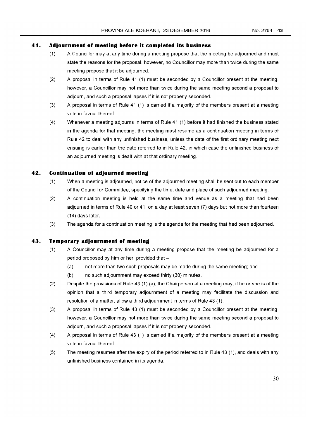# **41. Adjournment of meeting before it completed its business**

- (1) A Councillor may at any time during a meeting propose that the meeting be adjourned and must state the reasons for the proposal, however, no Councillor may more than twice during the same meeting propose that it be adjourned.
- (2) A proposal in terms of Rule 41 (1) must be seconded by a Councillor present at the meeting, however, a Councillor may not more than twice during the same meeting second a proposal to adjourn, and such a proposal lapses if it is not properly seconded.
- (3) A proposal in terms of Rule 41 (1) is carried if a majority of the members present at a meeting vote in favour thereof.
- (4) Whenever a meeting adjourns in terms of Rule 41 (1) before it had finished the business stated in the agenda for that meeting, the meeting must resume as a continuation meeting in terms of Rule 42 to deal with any unfinished business, unless the date of the first ordinary meeting next ensuing is earlier than the date referred to in Rule 42, in which case the unfinished business of an adjourned meeting is dealt with at that ordinary meeting.

# **42. Continuation of adjourned meeting**

- (1) When a meeting is adjourned, notice of the adjourned meeting shall be sent out to each member of the Council or Committee, specifying the time, date and place of such adjourned meeting.
- (2) A continuation meeting is held at the same time and venue as a meeting that had been adjourned in terms of Rule 40 or 41, on a day at least seven (7) days but not more than fourteen (14) days later.
- (3) The agenda for a continuation meeting is the agenda for the meeting that had been adjourned.

## **43. Temporary adjournment of meeting**

- (1) A Councillor may at any time during a meeting propose that the meeting be adjourned for a period proposed by him or her, provided that  $-$ 
	- (a) not more than two such proposals may be made during the same meeting; and
	- (b) no such adjournment may exceed thirty (30) minutes.
- (2) Despite the provisions of Rule 43 (1) (a), the Chairperson at a meeting may, if he or she is of the opinion that a third temporary adjournment of a meeting may facilitate the discussion and resolution of a matter, allow a third adjournment in terms of Rule 43 (1).
- (3) A proposal in terms of Rule 43 (1) must be seconded by a Councillor present at the meeting, however, a Councillor may not more than twice during the same meeting second a proposal to adjourn, and such a proposal lapses if it is not properly seconded.
- (4) A proposal in terms of Rule 43 (1) is carried if a majority of the members present at a meeting vote in favour thereof.
- (5) The meeting resumes after the expiry of the period referred to in Rule 43 (1), and deals with any unfinished business contained in its agenda.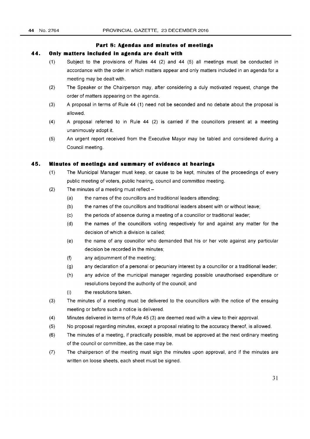# **Part 8: Agendas and minutes of meetings**

#### **44. Only matters included in agenda are dealt with**

- (1) Subject to the provisions of Rules 44 (2) and 44 (5) all meetings must be conducted in accordance with the order in which matters appear and only matters included in an agenda for a meeting may be dealt with.
- (2) The Speaker or the Chairperson may, after considering a duly motivated request, change the order of matters appearing on the agenda.
- (3) A proposal in terms of Rule 44 (1) need not be seconded and no debate about the proposal is allowed.
- (4) A proposal referred to in Rule 44 (2) is carried if the councillors present at a meeting unanimously adopt it.
- (5) An urgent report received from the Executive Mayor may be tabled and considered during a Council meeting.

## **45. Minutes of meetings and summary of evidence at hearings**

- (1) The Municipal Manager must keep, or cause to be kept, minutes of the proceedings of every public meeting of voters, public hearing, council and committee meeting.
- (2) The minutes of a meeting must reflect  $-$ 
	- (a) the names of the councillors and traditional leaders attending;
	- (b) the names of the councillors and traditional leaders absent with or without leave;
	- (c) the periods of absence during a meeting of a councillor or traditional leader;
	- (d) the names of the councillors voting respectively for and against any matter for the decision of which a division is called;
	- (e) the name of any councillor who demanded that his or her vote against any particular decision be recorded in the minutes;
	- (f) any adjournment of the meeting;
	- (g) any declaration of a personal or pecuniary interest by a councillor or a traditional leader;
	- (h) any advice of the municipal manager regarding possible unauthorised expenditure or resolutions beyond the authority of the council; and
	- (i) the resolutions taken.
- (3) The minutes of a meeting must be delivered to the councillors with the notice of the ensuing meeting or before such a notice is delivered.
- (4) Minutes delivered in terms of Rule 45 (3) are deemed read with a view to their approval.
- (5) No proposal regarding minutes, except a proposal relating to the accuracy thereof, is allowed.
- (6) The minutes of a meeting, if practically possible, must be approved at the next ordinary meeting of the council or committee, as the case may be.
- (7) The chairperson of the meeting must sign the minutes upon approval, and if the minutes are written on loose sheets, each sheet must be signed.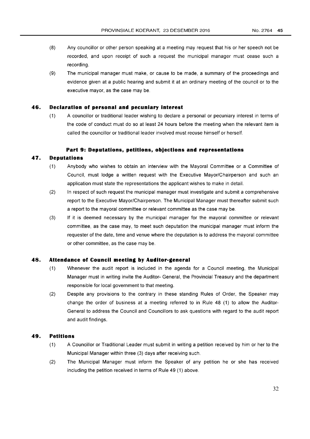- (8) Any councillor or other person speaking at a meeting may request that his or her speech not be recorded, and upon receipt of such a request the municipal manager must cease such a recording.
- (9) The municipal manager must make, or cause to be made, a summary of the proceedings and evidence given at a public hearing and submit it at an ordinary meeting of the council or to the executive mayor, as the case may be.

#### **46. Declaration of personal and pecuniary interest**

(1) A councillor or traditional leader wishing to declare a personal or pecuniary interest in terms of the code of conduct must do so at least 24 hours before the meeting when the relevant item is called the councillor or traditional leader involved must recuse himself or herself.

#### **Part 9: Deputations, petitions, objections and representations**

# 47. **Deputations**

- (1) Anybody who wishes to obtain an interview with the Mayoral Committee or a Committee of Council, must lodge a written request with the Executive Mayor/Chairperson and such an application must state the representations the applicant wishes to make in detail.
- (2) In respect of such request the municipal manager must investigate and submit a comprehensive report to the Executive Mayor/Chairperson. The Municipal Manager must thereafter submit such a report to the mayoral committee or relevant committee as the case may be.
- (3) If it is deemed necessary by the municipal manager for the mayoral committee or relevant committee, as the case may, to meet such deputation the municipal manager must inform the requester of the date, time and venue where the deputation is to address the mayoral committee or other committee, as the case may be.

# **48. Attendance of Council meeting by Auditor-general**

- (1) Whenever the audit report is included in the agenda for a Council meeting, the Municipal Manager must in writing invite the Auditor- General, the Provincial Treasury and the department responsible for local government to that meeting.
- (2) Despite any provisions to the contrary in these standing Rules of Order, the Speaker may change the order of business at a meeting referred to in Rule 48 (1) to allow the Auditor-General to address the Council and Councillors to ask questions with regard to the audit report and audit findings.

## **49. Petitions**

- (1) A Councillor or Traditional Leader must submit in writing a petition received by him or her to the Municipal Manager within three (3) days after receiving such.
- (2) The Municipal Manager must inform the Speaker of any petition he or she has received including the petition received in terms of Rule 49 (1) above.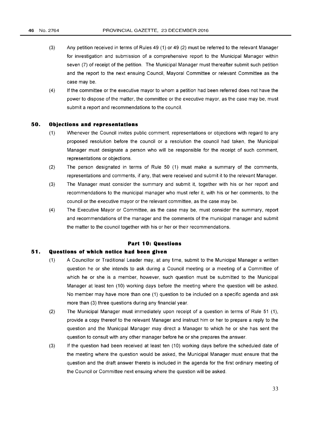- (3) Any petition received in terms of Rules 49 (1) or 49 (2) must be referred to the relevant Manager for investigation and submission of a comprehensive report to the Municipal Manager within seven (7) of receipt of the petition. The Municipal Manager must thereafter submit such petition and the report to the next ensuing Council, Mayoral Committee or relevant Committee as the case may be.
- (4) If the committee or the executive mayor to whom a petition had been referred does not have the power to dispose of the matter, the committee or the executive mayor, as the case may be, must submit a report and recommendations to the council.

#### **50. Objections and representations**

- (1) Whenever the Council invites public comment, representations or objections with regard to any proposed resolution before the council or a resolution the council had taken, the Municipal Manager must designate a person who will be responsible for the receipt of such comment, representations or objections.
- (2) The person designated in terms of Rule 50 (1) must make a summary of the comments, representations and comments, if any, that were received and submit it to the relevant Manager.
- (3) The Manager must consider the summary and submit it, together with his or her report and recommendations to the municipal manager who must refer it, with his or her comments, to the council or the executive mayor or the relevant committee, as the case may be.
- (4) The Executive Mayor or Committee, as the case may be, must consider the summary, report and recommendations of the manager and the comments of the municipal manager and submit the matter to the council together with his or her or their recommendations.

# **Part 10: Questions**

#### **51. Questions of which notice had been given**

- (1) A Councillor or Traditional Leader may, at any time, submit to the Municipal Manager a written question he or she intends to ask during a Council meeting or a meeting of a Committee of which he or she is a member, however, such question must be submitted to the Municipal Manager at least ten (10) working days before the meeting where the question will be asked. No member may have more than one (1) question to be included on a specific agenda and ask more than (3) three questions during any financial year.
- (2) The Municipal Manager must immediately upon receipt of a question in terms of Rule 51 (1), provide a copy thereof to the relevant Manager and instruct him or her to prepare a reply to the question and the Municipal Manager may direct a Manager to which he or she has sent the question to consult with any other manager before he or she prepares the answer.
- (3) If the question had been received at least ten (10) working days before the scheduled date of the meeting where the question would be asked, the Municipal Manager must ensure that the question and the draft answer thereto is included in the agenda for the first ordinary meeting of the Council or Committee next ensuing where the question will be asked.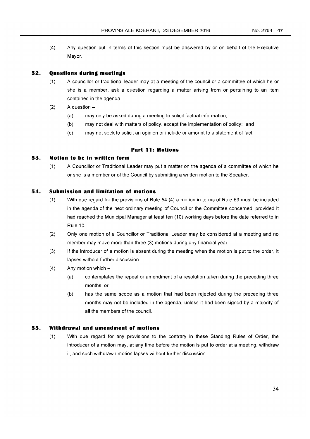(4) Any question put in terms of this section must be answered by or on behalf of the Executive Mayor.

# **52. Questions during meetings**

- (1) A councillor or traditional leader may at a meeting of the councilor a committee of which he or she is a member, ask a question regarding a matter arising from or pertaining to an item contained in the agenda.
- $(2)$  A question  $-$ 
	- (a) may only be asked during a meeting to solicit factual information;
	- (b) may not deal with matters of policy, except the implementation of policy; and
	- (c) may not seek to solicit an opinion or include or amount to a statement of fact.

## **Part 11: Motions**

# **53. Motion to be in written form**

(1) A Councillor or Traditional Leader may put a matter on the agenda of a committee of which he or she is a member or of the Council by submitting a written motion to the Speaker.

# **54. Submission and limitation of motions**

- (1) With due regard for the provisions of Rule 54 (4) a motion in terms of Rule 53 must be included in the agenda of the next ordinary meeting of Council or the Committee concerned; provided it had reached the Municipal Manager at least ten (10) working days before the date referred to in Rule 10.
- (2) Only one motion of a Councillor or Traditional Leader may be considered at a meeting and no member may move more than three (3) motions during any financial year.
- (3) If the introducer of a motion is absent during the meeting when the motion is put to the order, it lapses without further discussion.
- $(4)$  Any motion which -
	- (a) contemplates the repeal or amendment of a resolution taken during the preceding three months; or
	- (b) has the same scope as a motion that had been rejected during the preceding three months may not be included in the agenda, unless it had been signed by a majority of all the members of the council.

# **55. Withdrawal and amendment of motions**

(1) With due regard for any provisions to the contrary in these Standing Rules of Order, the introducer of a motion may, at any time before the motion is put to order at a meeting, withdraw it, and such withdrawn motion lapses without further discussion.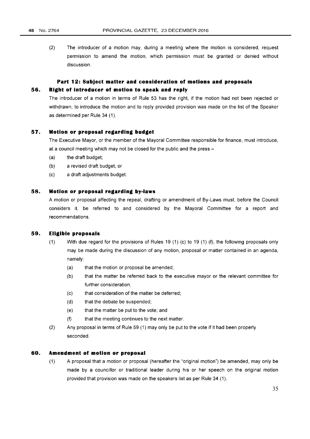(2) The introducer of a motion may, during a meeting where the motion is considered, request permission to amend the motion, which permission must be granted or denied without discussion.

# **Part 12: Subject matter and consideration of motions and proposals**

# **56. Right of introducer of motion to speak and reply**

The introducer of a motion in terms of Rule 53 has the right, if the motion had not been rejected or withdrawn, to introduce the motion and to reply provided provision was made on the list of the Speaker as determined per Rule 34 (1).

# **57. Motion or proposal regarding budget**

The Executive Mayor, or the member of the Mayoral Committee responsible for finance, must introduce, at a council meeting which may not be closed for the public and the press -

- (a) the draft budget;
- (b) a revised draft budget; or
- (c) a draft adjustments budget.

# **58. Motion or proposal regarding by-laws**

A motion or proposal affecting the repeal, drafting or amendment of By-Laws must, before the Council considers it, be referred to and considered by the Mayoral Committee for a report and recommendations.

## **59. Eligible proposals**

- (1) With due regard for the provisions of Rules 19 (1) (c) to 19 (1) (f), the following proposals only may be made during the discussion of any motion, proposal or matter contained in an agenda, namely:
	- (a) that the motion or proposal be amended;
	- (b) that the matter be referred back to the executive mayor or the relevant committee for further consideration;
	- (c) that consideration of the matter be deferred;
	- (d) that the debate be suspended;
	- (e) that the matter be put to the vote; and
	- (f) that the meeting continues to the next matter.
- (2) Any proposal in terms of Rule 59 (1) may only be put to the vote if it had been properly seconded.

# **60. Amendment of motion or proposal**

(1) A proposal that a motion or proposal (hereafter the "original motion") be amended, may only be made by a councillor or traditional leader during his or her speech on the original motion provided that provision was made on the speakers list as per Rule 34 (1).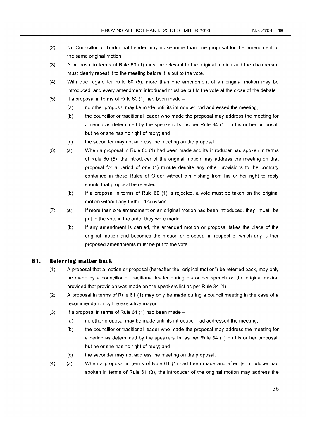- (2) No Councillor or Traditional Leader may make more than one proposal for the amendment of the same original motion.
- (3) A proposal in terms of Rule 60 (1) must be relevant to the original motion and the chairperson must clearly repeat it to the meeting before it is put to the vote.
- (4) With due regard for Rule 60 (5), more than one amendment of an original motion may be introduced, and every amendment introduced must be put to the vote at the close of the debate.
- (5) If a proposal in terms of Rule 60 (1) had been made  $-$ 
	- (a) no other proposal may be made until its introducer had addressed the meeting;
	- (b) the councillor or traditional leader who made the proposal may address the meeting for a period as determined by the speakers list as per Rule 34 (1) on his or her proposal, but he or she has no right of reply; and
	- (c) the seconder may not address the meeting on the proposal.
- (6) (a) When a proposal in Rule 60 (1) had been made and its introducer had spoken in terms of Rule 60 (5), the introducer of the original motion may address the meeting on that proposal for a period of one (1) minute despite any other provisions to the contrary contained in these Rules of Order without diminishing from his or her right to reply should that proposal be rejected.
	- (b) If a proposal in terms of Rule 60 (1) is rejected, a vote must be taken on the original motion without any further discussion.
- (7) (a) If more than one amendment on an original motion had been introduced, they must be put to the vote in the order they were made.
	- (b) If any amendment is carried, the amended motion or proposal takes the place of the original motion and becomes the motion or proposal in respect of which any further proposed amendments must be put to the vote.

#### **61. Referring matter back**

- (1) A proposal that a motion or proposal (hereafter the "original motion") be referred back, may only be made by a councillor or traditional leader during his or her speech on the original motion provided that provision was made on the speakers list as per Rule 34 (1).
- (2) A proposal in terms of Rule 61 (1) may only be made during a council meeting in the case of a recommendation by the executive mayor.
- $(3)$  If a proposal in terms of Rule 61 (1) had been made -
	- (a) no other proposal may be made until its introducer had addressed the meeting;
	- (b) the councillor or traditional leader who made the proposal may address the meeting for a period as determined by the speakers list as per Rule 34 (1) on his or her proposal, but he or she has no right of reply; and
	- (c) the seconder may not address the meeting on the proposal.
- (4) (a) When a proposal in terms of Rule 61 (1) had been made and after its introducer had spoken in terms of Rule 61 (3), the introducer of the original motion may address the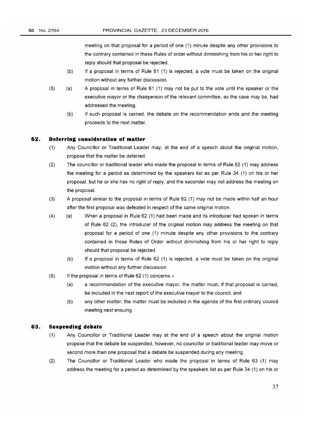meeting on that proposal for a period of one (1) minute despite any other provisions to the contrary contained in these Rules of order without diminishing from his or her right to reply should that proposal be rejected.

- (b) If a proposal in terms of Rule 61 (1) is rejected, a vote must be taken on the original motion without any further discussion.
- (5) (a) A proposal in terms of Rule 61 (1) may not be put to the vote until the speaker or the executive mayor or the chairperson of the relevant committee, as the case may be, had addressed the meeting.
	- (b) If such proposal is carried, the debate on the recommendation ends and the meeting proceeds to the next matter.

#### **62. Deferring consideration of matter**

- (1) Any Councillor or Traditional Leader may, at the end of a speech about the original motion, propose that the matter be deferred.
- (2) The councillor or traditional leader who made the proposal in terms of Rule 62 (1) may address the meeting for a period as determined by the speakers list as per Rule 34 (1) on his or her proposal, but he or she has no right of reply, and the seconder may not address the meeting on the proposal.
- (3) A proposal similar to the proposal in terms of Rule 62 (1) may not be made within half an hour after the first proposal was defeated in respect of the same original motion.
- (4) (a) When a proposal in Rule 62 (1) had been made and its introducer had spoken in terms of Rule 62 (2), the introducer of the original motion may address the meeting on that proposal for a period of one (1) minute despite any other provisions to the contrary contained in these Rules of Order without diminishing from his or her right to reply should that proposal be rejected.
	- (b) **If** a proposal in terms of Rule 62 (1) is rejected, a vote must be taken on the original motion without any further discussion.
- $(5)$  If the proposal in terms of Rule 62 (1) concerns  $-$ 
	- (a) a recommendation of the executive mayor, the matter must, if that proposal is carried, be included in the next report of the executive mayor to the council; and
	- (b) any other matter, the matter must be included in the agenda of the first ordinary council meeting next ensuing.

#### **63. Suspending debate**

- (1) Any Councillor or Traditional Leader may at the end of a speech about the original motion propose that the debate be suspended, however, no councillor or traditional leader may move or second more than one proposal that a debate be suspended during any meeting.
- (2) The Councillor or Traditional Leader who made the proposal in terms of Rule 63 (1) may address the meeting for a period as determined by the speakers list as per Rule 34 (1) on his or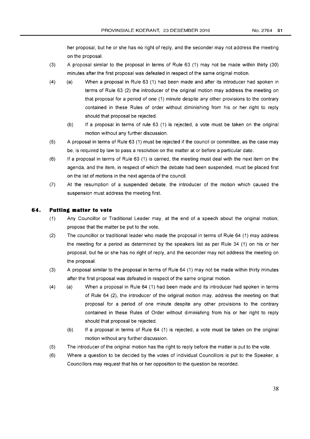her proposal, but he or she has no right of reply, and the seconder may not address the meeting on the proposal.

- (3) A proposal similar to the proposal in terms of Rule 63 (1) may not be made within thirty (30) minutes after the first proposal was defeated in respect of the same original motion.
- (4) (a) When a proposal in Rule 63 (1) had been made and after its introducer had spoken in terms of Rule 63 (2) the introducer of the original motion may address the meeting on that proposal for a period of one (1) minute despite any other provisions to the contrary contained in these Rules of order without diminishing from his or her right to reply should that proposal be rejected.
	- (b) If a proposal in terms of rule 63 (1) is rejected, a vote must be taken on the original motion without any further discussion.
- (5) A proposal in terms of Rule 63 (1) must be rejected if the councilor committee, as the case may be, is required by law to pass a resolution on the matter at or before a particular date.
- (6) If a proposal in terms of Rule 63 (1) is carried, the meeting must deal with the next item on the agenda, and the item, in respect of which the debate had been suspended, must be placed first on the list of motions in the next agenda of the council.
- (7) At the resumption of a suspended debate, the introducer of the motion which caused the suspension must address the meeting first.

# **64. Putting matter to vote**

- (1) Any Councillor or Traditional Leader may, at the end of a speech about the original motion, propose that the matter be put to the vote.
- (2) The councillor or traditional leader who made the proposal in terms of Rule 64 (1) may address the meeting for a period as determined by the speakers list as per Rule 34 (1) on his or her proposal, but he or she has no right of reply, and the seconder may not address the meeting on the proposal.
- (3) A proposal similar to the proposal in terms of Rule 64 (1) may not be made within thirty minutes after the first proposal was defeated in respect of the same original motion.
- (4) (a) When a proposal in Rule 64 (1) had been made and its introducer had spoken in terms of Rule 64 (2), the introducer of the original motion may, address the meeting on that proposal for a period of one minute despite any other provisions to the contrary contained in these Rules of Order without diminishing from his or her right to reply should that proposal be rejected.
	- (b) If a proposal in terms of Rule 64 (1) is rejected, a vote must be taken on the original motion without any further discussion.
- (5) The introducer of the original motion has the right to reply before the matter is put to the vote.
- (6) Where a question to be decided by the votes of individual Councillors is put to the Speaker, a Councillors may request that his or her opposition to the question be recorded.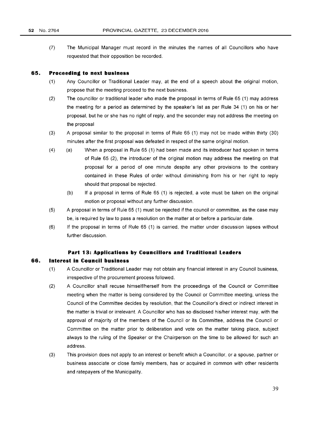(7) The Municipal Manager must record in the minutes the names of all Councillors who have requested that their opposition be recorded.

#### **65. Proceeding to next business**

- (1) Any Councillor or Traditional Leader may, at the end of a speech about the original motion, propose that the meeting proceed to the next business.
- (2) The councillor or traditional leader who made the proposal in terms of Rule 65 (1) may address the meeting for a period as determined by the speaker's list as per Rule 34 (1) on his or her proposal, but he or she has no right of reply, and the seconder may not address the meeting on the proposal
- (3) A proposal similar to the proposal in terms of Rule 65 (1) may not be made within thirty (30) minutes after the first proposal was defeated in respect of the same original motion.
- (4) (a) When a proposal in Rule 65 (1) had been made and its introducer had spoken in terms of Rule 65 (2), the introducer of the original motion may address the meeting on that proposal for a period of one minute despite any other provisions to the contrary contained in these Rules of order without diminishing from his or her right to reply should that proposal be rejected.
	- (b) If a proposal in terms of Rule 65 (1) is rejected, a vote must be taken on the original motion or proposal without any further discussion.
- (5) A proposal in terms of Rule 65 (1) must be rejected if the council or committee, as the case may be, is required by law to pass a resolution on the matter at or before a particular date.
- (6) If the proposal in terms of Rule 65 (1) is carried, the matter under discussion lapses without further discussion.

#### **Part 13: Applications by Councillors and Traditional Leaders**

# **66. Interest in Council business**

- (1) A Councillor or Traditional Leader may not obtain any financial interest in any Council business, irrespective of the procurement process followed.
- (2) A Councillor shall recuse himself/herself from the proceedings of the Council or Committee meeting when the matter is being considered by the Council or Committee meeting, unless the Council of the Committee decides by resolution, that the Councillor's direct or indirect interest in the matter is trivial or irrelevant. A Councillor who has so disclosed his/her interest may, with the approval of majority of the members of the Council or its Committee, address the Council or Committee on the matter prior to deliberation and vote on the matter taking place, subject always to the ruling of the Speaker or the Chairperson on the time to be allowed for such an address.
- (3) This provision does not apply to an interest or benefit which a Councillor, or a spouse, partner or business associate or close family members, has or acquired in common with other residents and ratepayers of the Municipality.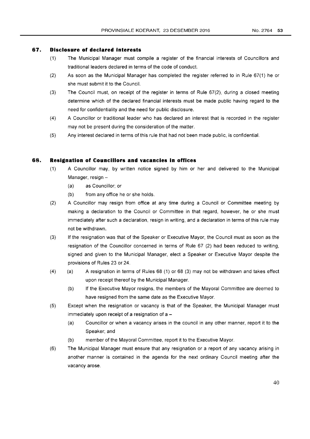#### **67. Disclosure of declared interests**

- (1) The Municipal Manager must compile a register of the financial interests of Councillors and traditional leaders declared in terms of the code of conduct.
- (2) As soon as the Municipal Manager has completed the register referred to in Rule 67(1) he or she must submit it to the Council.
- (3) The Council must, on receipt of the register in terms of Rule 67(2), during a closed meeting determine which of the declared financial interests must be made public having regard to the need for confidentiality and the need for public disclosure.
- (4) A Councillor or traditional leader who has declared an interest that is recorded in the register may not be present during the consideration of the matter.
- (5) Any interest declared in terms of this rule that had not been made public, is confidential.

#### **68. Resignation of Councillors and vacancies in offices**

- (1) A Councillor may, by written notice signed by him or her and delivered to the Municipal Manager, resign -
	- (a) as Councillor; or
	- (b) from any office he or she holds.
- (2) A Councillor may resign from office at any time during a Council or Committee meeting by making a declaration to the Council or Committee in that regard, however, he or she must immediately after such a declaration, resign in writing, and a declaration in terms of this rule may not be withdrawn.
- (3) If the resignation was that of the Speaker or Executive Mayor, the Council must as soon as the resignation of the Councillor concerned in terms of Rule 67 (2) had been reduced to writing, signed and given to the Municipal Manager, elect a Speaker or Executive Mayor despite the provisions of Rules 23 or 24.
- (4) (a) A resignation in terms of Rules 68 (1) or 68 (3) may not be withdrawn and takes effect upon receipt thereof by the Municipal Manager.
	- (b) If the Executive Mayor resigns, the members of the Mayoral Committee are deemed to have resigned from the same date as the Executive Mayor.
- (5) Except when the resignation or vacancy is that of the Speaker, the Municipal Manager must immediately upon receipt of a resignation of  $a -$ 
	- (a) Councillor or when a vacancy arises in the council in any other manner, report it to the Speaker; and
	- (b) member of the Mayoral Committee, report it to the Executive Mayor.
- (6) The Municipal Manager must ensure that any resignation or a report of any vacancy arising in another manner is contained in the agenda for the next ordinary Council meeting after the vacancy arose.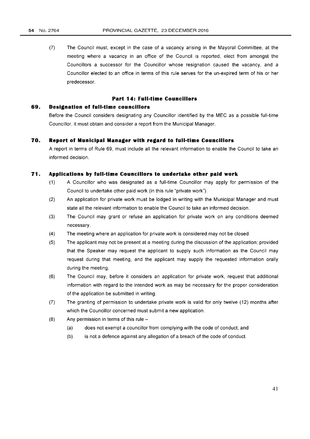(7) The Council must, except in the case of a vacancy arising in the Mayoral Committee, at the meeting where a vacancy in an office of the Council is reported, elect from amongst the Councillors a successor for the Councillor whose resignation caused the vacancy, and a Councillor elected to an office in terms of this rule serves for the un-expired term of his or her predecessor.

# **Part 14: Full-time Councillors**

#### **69. Designation of full-time councillors**

Before the Council considers designating any Councillor identified by the MEC as a possible full-time Councillor, it must obtain and consider a report from the Municipal Manager.

#### **70. Report of Municipal Manager with regard to full-time Councillors**

A report in terms of Rule 69, must include all the relevant information to enable the Council to take an informed decision.

# **71. Applications by full-time Councillors to undertake other paid work**

- (1) A Councillor who was designated as a full-time Councillor may apply for permission of the Council to undertake other paid work (in this rule "private work").
- (2) An application for private work must be lodged in writing with the Municipal Manager and must state all the relevant information to enable the Council to take an informed decision.
- (3) The Council may grant or refuse an application for private work on any conditions deemed necessary.
- (4) The meeting where an application for private work is considered may not be closed.
- (5) The applicant may not be present at a meeting during the discussion of the application; provided that the Speaker may request the applicant to supply such information as the Council may request during that meeting, and the applicant may supply the requested information orally during the meeting.
- (6) The Council may, before it considers an application for private work, request that additional information with regard to the intended work as may be necessary for the proper consideration of the application be submitted in writing.
- (7) The granting of permission to undertake private work is valid for only twelve (12) months after which the Councillor concerned must submit a new application.
- $(8)$  Any permission in terms of this rule  $-$ 
	- (a) does not exempt a councillor from complying with the code of conduct; and
	- (b) is not a defence against any allegation of a breach of the code of conduct.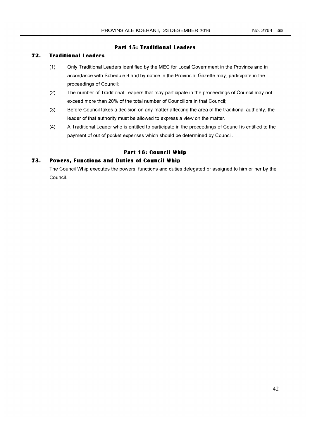# **Part 15: Traditional Leaders**

# **72. Traditional Leaders**

- (1) Only Traditional Leaders identified by the MEC for Local Government in the Province and in accordance with Schedule 6 and by notice in the Provincial Gazette may, participate in the proceedings of Council;
- (2) The number of Traditional Leaders that may participate in the proceedings of Council may not exceed more than 20% of the total number of Councillors in that Council;
- (3) Before Council takes a decision on any matter affecting the area of the traditional authority, the leader of that authority must be allowed to express a view on the matter.
- (4) A Traditional Leader who is entitled to participate in the proceedings of Council is entitled to the payment of out of pocket expenses which should be determined by Council.

# **Part 16: Council Whip**

# **73. Powers, Functions and Duties of Council Whip**

The Council Whip executes the powers, functions and duties delegated or assigned to him or her by the Council.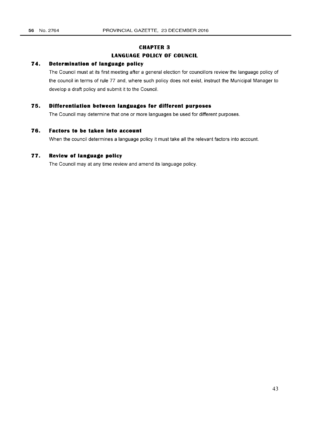# **CHAPTER 3**

# **LANGUAGE POLICY OF COUNCIL**

# **74. Determination of language policy**

The Council must at its first meeting after a general election for councillors review the language policy of the council in terms of rule 77 and, where such policy does not exist, instruct the Municipal Manager to develop a draft policy and submit it to the Council.

# **75. Differentiation between languages for different purposes**

The Council may determine that one or more languages be used for different purposes.

# **76. Factors to be taken into account**

When the council determines a language policy it must take all the relevant factors into account.

## **77. Review of language policy**

The Council may at any time review and amend its language policy.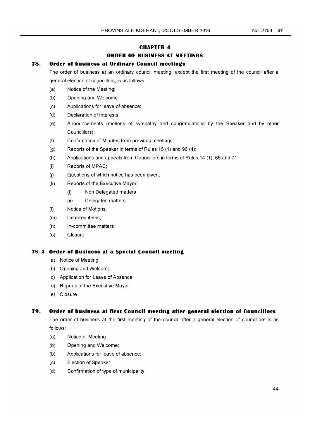# **CHAPTER 4**

# **ORDER OF BUSINESS AT MEETINGS**

# **78. Order of business at Ordinary Council meetings**

The order of business at an ordinary council meeting, except the first meeting of the council after a general election of councillors, is as follows:

- (a) Notice of the Meeting;
- (b) Opening and Welcome
- (c) Applications for leave of absence;
- (d) Declaration of Interests
- (e) Announcements (motions of sympathy and congratulations by the Speaker and by other Councillors);
- (f) Confirmation of Minutes from previous meetings;
- (g) Reports of the Speaker in terms of Rules 15 (1) and 96 (4);
- (h) Applications and appeals from Councillors in terms of Rules **14** (1), 66 and 71;
- (i) Reports of MPAC;
- (i) Questions of which notice has been given;
- (k) Reports of the Executive Mayor;
	- (i) Non Delegated matters
	- (ii) Delegated matters
- (I) Notice of Motions;
- (m) Deferred items;
- (n) In-committee matters
- (0) Closure

# **78. A Order of Business at a Special Council meeting**

- a) Notice of Meeting
- b) Opening and Welcome
- c) Application for Leave of Absence
- d) Reports of the Executive Mayor
- e) Closure

# **79. Order of business at first Council meeting after general election of Councillors**

The order of business at the first meeting of the council after a general election of councillors is as follows:

- (a) Notice of Meeting
- (b) Opening and Welcome;
- (b) Applications for leave of absence;
- (c) Election of Speaker;
- (d) Confirmation of type of municipality;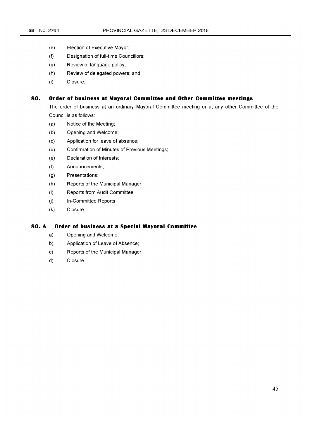- (e) Election of Executive Mayor;
- (f) Designation of full-time Councillors;
- (g) Review of language policy;
- (h) Review of delegated powers; and
- (i) Closure.

#### **80. Order of business at Mayoral Committee and Other Committee meetings**

The order of business at an ordinary Mayoral Committee meeting or at any other Committee of the Council is as follows:

- (a) Notice of the Meeting;
- (b) Opening and Welcome;
- (c) Application for leave of absence;
- (d) Confirmation of Minutes of Previous Meetings;
- (e) Declaration of Interests;
- (f) Announcements;
- (g) Presentations;
- (h) Reports of the Municipal Manager;
- (i) Reports from Audit Committee
- (j) In-Committee Reports
- (k) Closure.

# **80. A Order of business at a Special Mayoral Committee**

- a) Opening and Welcome;
- b) Application of Leave of Absence;
- c) Reports of the Municipal Manager;
- d) Closure.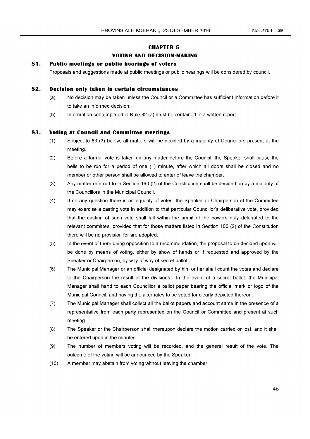#### **CHAPTER 5**

#### **VOTING AND DECISION·MAKING**

#### **81. Public meetings or public hearings of voters**

Proposals and suggestions made at public meetings or public hearings will be considered by council.

#### **82. Decision only taken in certain circumstances**

- (a) No decision may be taken unless the Council or a Committee has sufficient information before it to take an informed decision.
- (b) Information contemplated in Rule 82 (a) must be contained in a written report.

#### **83. Voting at Council and Committee meetings**

- (1) Subject to 83 (3) below, all matters will be decided by a majority of Councillors present at the meeting.
- (2) Before a formal vote is taken on any matter before the Council, the Speaker shall cause the bells to be run for a period of one (1) minute, after which all doors shall be closed and no member or other person shall be allowed to enter of leave the chamber.
- (3) Any matter referred to in Section 160 (2) of the Constitution shall be decided on by a majority of the Councillors in the Municipal Council.
- (4) If on any question there is an equality of votes, the Speaker or Chairperson of the Committee may exercise a casting vote in addition to that particular Councillor's deliberative vote, provided that the casting of such vote shall fall within the ambit of the powers duly delegated to the relevant committee, provided that for those matters listed in Section 160 (2) of the Constitution there will be no provision for are adopted.
- (5) In the event of there being opposition to a recommendation, the proposal to be decided upon will be done by means of voting, either by show of hands or if requested and approved by the Speaker or Chairperson, by way of way of secret ballot.
- (6) The Municipal Manager or an official designated by him or her shall count the votes and declare to the Chairperson the result of the divisions. In the event of a secret ballot, the Municipal Manager shall hand to each Councillor a ballot paper bearing the official mark or logo of the Municipal Council, and having the alternates to be voted for clearly depicted thereon.
- (7) The Municipal Manager shall collect all the ballot papers and account same in the presence of a representative from each party represented on the Council or Committee and present at such meeting.
- (8) The Speaker or the Chairperson shall thereupon declare the motion carried or lost, and it shall be entered upon in the minutes.
- (9) The number of members voting will be recorded, and the general result of the vote. The outcome of the voting will be announced by the Speaker.
- (10) A member may abstain from voting without leaving the chamber.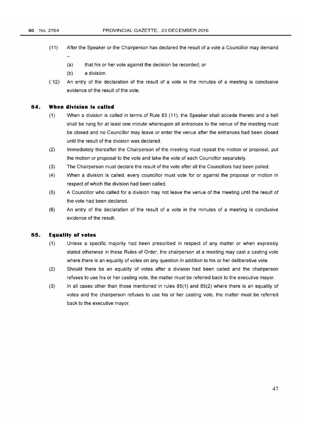- (11) After the Speaker or the Chairperson has declared the result of a vote a Councillor may demand
	- (a) that his or her vote against the decision be recorded; or
	- (b) a division.
- *C* 12) An entry of the declaration of the result of a vote in the minutes of a meeting is conclusive evidence of the result of the vote.

#### **84. When division is called**

- (1) When a division is called in terms of Rule 83 (11), the Speaker shall accede thereto and a bell shall be rung for at least one minute whereupon all entrances to the venue of the meeting must be closed and no Councillor may leave or enter the venue after the entrances had been closed until the result of the division was declared.
- (2) Immediately thereafter the Chairperson of the meeting must repeat the motion or proposal, put the motion or proposal to the vote and take the vote of each Councillor separately.
- (3) The Chairperson must declare the result of the vote after all the Councillors had been polled.
- (4) When a division is called, every councillor must vote for or against the proposal or motion in respect of which the division had been called.
- (5) A Councillor who called for a division may not leave the venue of the meeting until the result of the vote had been declared.
- (6) An entry of the declaration of the result of a vote in the minutes of a meeting is conclusive evidence of the result.

# **85. Equality of votes**

- (1) Unless a specific majority had been prescribed in respect of any matter or when expressly stated otherwise in these Rules of Order, the chairperson at a meeting may cast a casting vote where there is an equality of votes on any question in addition to his or her deliberative vote.
- (2) Should there be an equality of votes after a division had been called and the chairperson refuses to use his or her casting vote, the matter must be referred back to the executive mayor.
- (3) In all cases other than those mentioned in rules 85(1) and 85(2) where there is an equality of votes and the chairperson refuses to use his or her casting vote, the matter must be referred back to the executive mayor.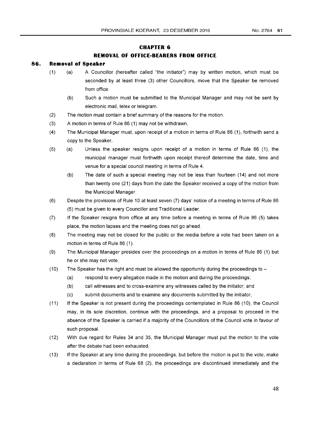#### **CHAPTER 6**

# **REMOVAL OF OFFICE-BEARERS FROM OFFICE**

#### **86. Removal of Speaker**

- (1) (a) A Councillor (hereafter called "the initiator") may by written motion, which must be seconded by at least three (3) other Councillors, move that the Speaker be removed from office.
	- (b) Such a motion must be submitted to the Municipal Manager and may not be sent by electronic mail, telex or telegram.
- (2) The motion must contain a brief summary of the reasons for the motion.
- (3) A motion in terms of Rule 86 (1) may not be withdrawn.
- (4) The Municipal Manager must, upon receipt of a motion in terms of Rule 86 (1), forthwith send a copy to the Speaker.
- (5) (a) Unless the speaker resigns upon receipt of a motion in terms of Rule 86 (1), the municipal manager must forthwith upon receipt thereof determine the date, time and venue for a special council meeting in terms of Rule 4.
	- (b) The date of such a special meeting may not be less than fourteen (14) and not more than twenty one (21) days from the date the Speaker received a copy of the motion from the Municipal Manager.
- (6) Despite the provisions of Rule 10 at least seven (7) days' notice of a meeting in terms of Rule 86 (5) must be given to every Councillor and Traditional Leader.
- (7) If the Speaker resigns from office at any time before a meeting in terms of Rule 86 (5) takes place, the motion lapses and the meeting does not go ahead.
- (8) The meeting may not be closed for the public or the media before a vote had been taken on a motion in terms of Rule 86 (1).
- (9) The Municipal Manager presides over the proceedings on a motion in terms of Rule 86 (1) but he or she may not vote.
- (10) The Speaker has the right and must be allowed the opportunity during the proceedings to  $-$ 
	- (a) respond to every allegation made in the motion and during the proceedings;
	- (b) call witnesses and to cross-examine any witnesses called by the initiator; and
	- (c) submit documents and to examine any documents submitted by the initiator,
- (11) If the Speaker is not present during the proceedings contemplated in Rule 86 (10), the Council may, in its sole discretion, continue with the proceedings, and a proposal to proceed in the absence of the Speaker is carried if a majority of the Councillors of the Council vote in favour of such proposal.
- (12) With due regard for Rules 34 and 35, the Municipal Manager must put the motion to the vote after the debate had been exhausted.
- (13) If the Speaker at any time during the proceedings, but before the motion is put to the vote, make a declaration in terms of Rule 68 (2), the proceedings are discontinued immediately and the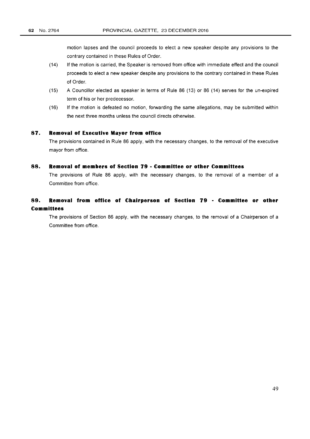motion lapses and the council proceeds to elect a new speaker despite any provisions to the contrary contained in these Rules of Order.

- (14) If the motion is carried, the Speaker is removed from office with immediate effect and the council proceeds to elect a new speaker despite any provisions to the contrary contained in these Rules of Order.
- (15) A Councillor elected as speaker in terms of Rule 86 (13) or 86 (14) serves for the un-expired term of his or her predecessor.
- (16) If the motion is defeated no motion, forwarding the same allegations, may be submitted within the next three months unless the council directs otherwise.

#### **87. Removal of Executive Mayor from office**

The provisions contained in Rule 86 apply, with the necessary changes, to the removal of the executive mayor from office.

## **88. Removal of members of Section 79 - Committee or other Committees**

The provisions of Rule 86 apply, with the necessary changes, to the removal of a member of a Committee from office.

# **89. Removal from office of Chairperson of Section 79 - Committee or other Committees**

The provisions of Section 86 apply, with the necessary changes, to the removal of a Chairperson of a Committee from office.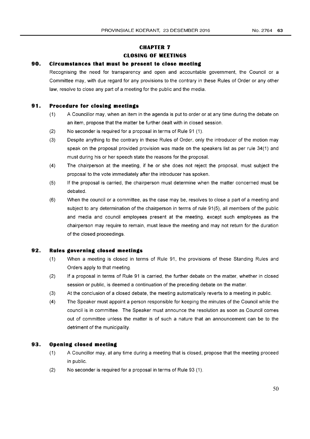# **CHAPTER 7 CLOSING OF MEETINGS**

# **90. Circumstances that must be present to close meeting**

Recognising the need for transparency and open and accountable government, the Council or a Committee may, with due regard for any provisions to the contrary in these Rules of Order or any other law, resolve to close any part of a meeting for the public and the media.

# **91. Procedure for closing meetings**

- (1) A Councillor may, when an item in the agenda is put to order or at any time during the debate on an item, propose that the matter be further dealt with in closed session.
- (2) No seconder is required for a proposal in terms of Rule 91 (1).
- (3) Despite anything to the contrary in these Rules of Order, only the introducer of the motion may speak on the proposal provided provision was made on the speakers list as per rule 34(1) and must during his or her speech state the reasons for the proposal.
- (4) The chairperson at the meeting, if he or she does not reject the proposal, must subject the proposal to the vote immediately after the introducer has spoken.
- (5) If the proposal is carried, the chairperson must determine when the matter concerned must be debated.
- (6) When the councilor a committee, as the case may be, resolves to close a part of a meeting and subject to any determination of the chairperson in terms of rule 91(5), all members of the public and media and council employees present at the meeting, except such employees as the chairperson may require to remain, must leave the meeting and may not return for the duration of the closed proceedings.

# **92. Rules governing closed meetings**

- (1) When a meeting is closed in terms of Rule 91, the provisions of these Standing Rules and Orders apply to that meeting.
- (2) If a proposal in terms of Rule 91 is carried, the further debate on the matter, whether in closed session or public, is deemed a continuation of the preceding debate on the matter.
- (3) At the conclusion of a closed debate, the meeting automatically reverts to a meeting in public.
- (4) The Speaker must appoint a person responsible for keeping the minutes of the Council while the council is in committee. The Speaker must announce the resolution as soon as Council comes out of committee unless the matter is of such a nature that an announcement can be to the detriment of the municipality.

#### **93. Opening closed meeting**

- (1) A Councillor may, at any time during a meeting that is closed, propose that the meeting proceed in public.
- (2) No seconder is required for a proposal in terms of Rule 93 (1).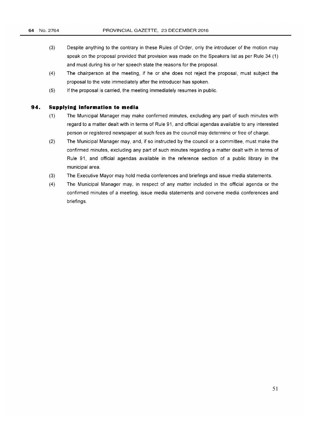- (3) Despite anything to the contrary in these Rules of Order, only the introducer of the motion may speak on the proposal provided that provision was made on the Speakers list as per Rule 34 (1) and must during his or her speech state the reasons for the proposal.
- (4) The chairperson at the meeting, if he or she does not reject the proposal, must subject the proposal to the vote immediately after the introducer has spoken.
- (5) If the proposal is carried, the meeting immediately resumes in public.

#### **94. Supplying information to media**

- (1) The Municipal Manager may make confirmed minutes, excluding any part of such minutes with regard to a matter dealt with in terms of Rule 91, and official agendas available to any interested person or registered newspaper at such fees as the council may determine or free of charge.
- (2) The Municipal Manager may, and, if so instructed by the council or a committee, must make the confirmed minutes, excluding any part of such minutes regarding a matter dealt with in terms of Rule 91, and official agendas available in the reference section of a public library in the municipal area.
- (3) The Executive Mayor may hold media conferences and briefings and issue media statements.
- (4) The Municipal Manager may, in respect of any matter included in the official agenda or the confirmed minutes of a meeting, issue media statements and convene media conferences and briefings.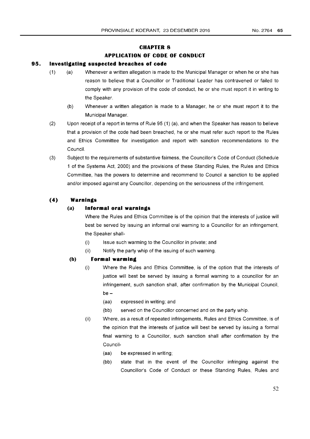# **CHAPTER 8**

# **APPLICATION OF CODE OF CONDUCT**

#### **95. Investigating suspected breaches of code**

- (1) (a) Whenever a written allegation is made to the Municipal Manager or when he or she has reason to believe that a Councillor or Traditional Leader has contravened or failed to comply with any provision of the code of conduct, he or she must report it in writing to the Speaker.
	- (b) Whenever a written allegation is made to a Manager, he or she must report it to the Municipal Manager.
- (2) Upon receipt of a report in terms of Rule 95 (1) (a), and when the Speaker has reason to believe that a provision of the code had been breached, he or she must refer such report to the Rules and Ethics Committee for investigation and report with sanction recommendations to the Council.
- (3) Subject to the requirements of substantive fairness, the Councillor's Code of Conduct (Schedule 1 of the Systems Act, 2000) and the provisions of these Standing Rules, the Rules and Ethics Committee, has the powers to determine and recommend to Council a sanction to be applied and/or imposed against any Councillor, depending on the seriousness of the infringement.

#### **(4) Warnings**

#### **(a) Informal oral warnings**

Where the Rules and Ethics Committee is of the opinion that the interests of justice will best be served by issuing an informal oral warning to a Councillor for an infringement, the Speaker shall-

- (i) Issue such warming to the Councillor in private; and
- (ii) Notify the party whip of the issuing of such warning.

# **(b) Formal warming**

- (i) Where the Rules and Ethics Committee, is of the option that the interests of justice will best be served by issuing a formal warning to a councillor for an infringement, such sanction shall, after confirmation by the Municipal Council, be -
	- (aa) expressed in writing; and
	- (bb) served on the Councillor concerned and on the party whip.
- (ii) Where, as a result of repeated infringements, Rules and Ethics Committee, is of the opinion that the interests of justice will best be served by issuing a formal final warning to a Councillor, such sanction shall after confirmation by the Council-
	- (aa) be expressed in writing;
	- (bb) state that in the event of the Councillor infringing against the Councillor's Code of Conduct or these Standing Rules, Rules and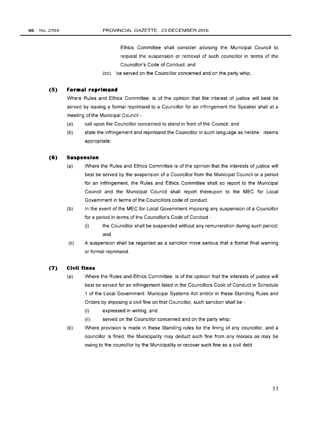Ethics Committee shall consider advising the Municipal Council to request the suspension or removal of such councillor in terms of the Councillor's Code of Conduct; and

(cc) be served on the Councillor concerned and on the party whip,

# **(5) Formal reprimand**

Where Rules and Ethics Committee, is of the opinion that the interest of justice will best be served by issuing a formal reprimand to a Councillor for an infringement the Speaker shall at a meeting of the Municipal Council -

- (a) call upon the Councillor concerned to stand in front of the Council; and
- (b) state the infringement and reprimand the Councillor in such language as he/she deems appropriate;

#### **(6) Suspension**

- (a) Where the Rules and Ethics Committee is of the opinion that the interests of justice will best be served by the suspension of a Councillor from the Municipal Council or a period for an infringement, the Rules and Ethics Committee shall so report to the Municipal Council and the Municipal Council shall report thereupon to the MEC for Local Government in terms of the Councillors code of conduct.
- (b) In the event of the MEC for Local Government imposing any suspension of a Councillor for a period in terms of the Councillor's Code of Conduct -
	- (i) the Councillor shall be suspended without any remuneration during such period; and
- (c) A suspension shall be regarded as a sanction more serious that a formal final warning or formal reprimand.

# **(7) Civil fines**

- (a) Where the Rules and Ethics Committee, is of the opinion that the interests of justice will best be served for an infringement listed in the Councillors Code of Conduct in Schedule 1 of the Local Government: Municipal Systems Act and/or in these Standing Rules and Orders by imposing a civil fine on that Councillor, such sanction shall be -
	- (i) expressed in writing; and
	- (ii) served on the Councillor concerned and on the party whip;
- (b) Where provision is made in these Standing rules for the fining of any councillor, and a councillor is fined, the Municipality may deduct such fine from any monies as may be owing to the councillor by the Municipality or recover such fine as a civil debt.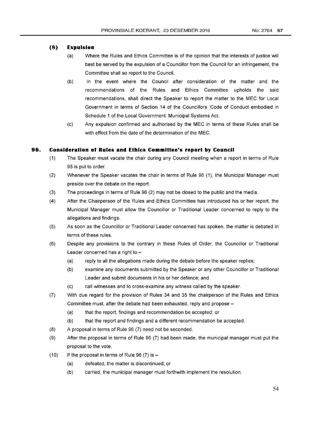# **(8) Expulsion**

- (a) Where the Rules and Ethics Committee is of the opinion that the interests of justice will best be served by the expulsion of a Councillor from the Council for an infringement, the Committee shall so report to the Council.
- (b) In the event where the Council after consideration of the matter and the recommendations of the Rules and Ethics Committee upholds the said recommendations, shall direct the Speaker to report the matter to the MEC for Local Government in terms of Section 14 of the Councillors 'Code of Conduct embodied in Schedule 1 of the Local Government: Municipal Systems Act.
- (c) Any expulsion confirmed and authorised by the MEC in terms of these Rules shall be with effect from the date of the determination of the MEC.

# **96. Consideration of Rules and Ethics Committee's report by Council**

- (1) The Speaker must vacate the chair during any Council meeting when a report in terms of Rule 95 is put to order.
- (2) Whenever the Speaker vacates the chair in terms of Rule 96 (1), the Municipal Manager must preside over the debate on the report.
- (3) The proceedings in terms of Rule 96 (2) may not be closed to the public and the media.
- (4) After the Chairperson of the Rules and Ethics Committee has introduced his or her report, the Municipal Manager must allow the Councillor or Traditional Leader concerned to reply to the allegations and findings.
- (5) As soon as the Councillor or Traditional Leader concerned has spoken, the matter is debated in terms of these rules.
- (6) Despite any provisions to the contrary in these Rules of Order, the Councillor or Traditional Leader concerned has a right to  $-$ 
	- (a) reply to all the allegations made during the debate before the speaker replies;
	- (b) examine any documents submitted by the Speaker or any other Councillor or Traditional Leader and submit documents in his or her defence; and
	- (c) call witnesses and to cross-examine any witness called by the speaker.
- (7) With due regard for the provision of Rules 34 and 35 the chairperson of the Rules and Ethics Committee must, after the debate had been exhausted, reply and propose -
	- (a) that the report, findings and recommendation be accepted; or
	- (b) that the report and findings and a different recommendation be accepted.
- (8) A proposal in terms of Rule 96 (7) need not be seconded.
- (9) After the proposal in terms of Rule 96 (7) had been made, the municipal manager must put the proposal to the vote.
- $(10)$  If the proposal in terms of Rule 96  $(7)$  is  $-$ 
	- (a) defeated, the matter is discontinued; or
	- (b) carried, the municipal manager must forthwith implement the resolution.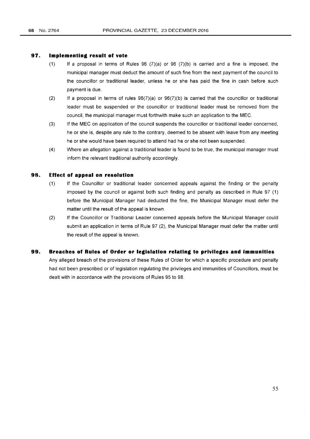#### **97. Implementing result of vote**

- (1) If a proposal in terms of Rules  $96$  (7)(a) or  $96$  (7)(b) is carried and a fine is imposed, the municipal manager must deduct the amount of such fine from the next payment of the council to the councillor or traditional leader, unless he or she has paid the fine in cash before such payment is due.
- (2) If a proposal in terms of rules  $96(7)(a)$  or  $96(7)(b)$  is carried that the councillor or traditional leader must be suspended or the councillor or traditional leader must be removed from the council, the municipal manager must forthwith make such an application to the MEC.
- (3) If the MEC on application of the council suspends the councillor or traditional leader concerned, he or she is, despite any rule to the contrary, deemed to be absent with leave from any meeting he or she would have been required to attend had he or she not been suspended.
- (4) Where an allegation against a traditional leader is found to be true, the municipal manager must inform the relevant traditional authority accordingly.

#### **98. Effect of appeal on resolution**

- (1) If the Councillor or traditional leader concerned appeals against the finding or the penalty imposed by the council or against both such finding and penalty as described in Rule 97  $(1)$ before the Municipal Manager had deducted the fine, the Municipal Manager must defer the matter until the result of the appeal is known.
- (2) If the Councillor or Traditional Leader concerned appeals before the Municipal Manager could submit an application in terms of Rule 97 (2), the Municipal Manager must defer the matter until the result of the appeal is known.

#### **99. Breaches of Rules of Order or legislation relating to privileges and immunities**

Any alleged breach of the provisions of these Rules of Order for which a specific procedure and penalty had not been prescribed or of legislation regulating the privileges and immunities of Councillors, must be dealt with in accordance with the provisions of Rules 95 to 98.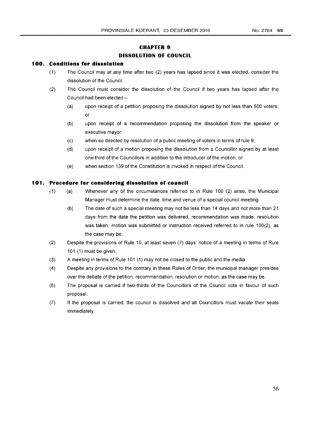# **CHAPTER 9 DISSOLUTION OF COUNCIL**

## **100. Conditions for dissolution**

- (1) The Council may at any time after two (2) years has lapsed since it was elected, consider the dissolution of the Council.
- (2) The Council must consider the dissolution of the Council if two years has lapsed after the Council had been elected -
	- (a) upon receipt of a petition proposing the dissolution signed by not less than 500 voters; or
	- (b) upon receipt of a recommendation proposing the dissolution from the speaker or executive mayor.
	- (c) when so directed by resolution of a public meeting of voters in terms of rule 9;
	- (d) upon receipt of a motion proposing the dissolution from a Councillor signed by at least one-third of the Councillors in addition to the introducer of the motion; or
	- (e) when section 139 of the Constitution is invoked in respect of the Council.

#### **101. Procedure for considering dissolution of council**

- (1) (a) Whenever any of the circumstances referred to in Rule 100 (2) arise, the Municipal Manager must determine the date, time and venue of a special council meeting.
	- (b) The date of such a special meeting may not be less than 14 days and not more than 21 days from the date the petition was delivered, recommendation was made, resolution was taken, motion was submitted or instruction received referred to in rule 100(2), as the case may be.
- (2) Despite the provisions of Rule 10, at least seven (7) days' notice of a meeting in terms of Rule 101 (1) must be given,
- (3) A meeting in terms of Rule 101 (1) may not be closed to the public and the media.
- (4) Despite any provisions to the contrary in these Rules of Order, the municipal manager presides over the debate of the petition, recommendation, resolution or motion, as the case may be.
- (6) The proposal is carried if two-thirds of the Councillors of the Council vote in favour of such proposal.
- (7) If the proposal is carried, the council is dissolved and all Councillors must vacate their seats immediately.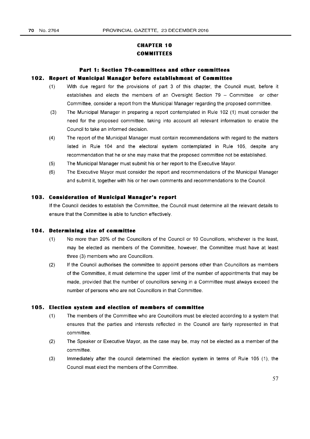# **CHAPTER 10 COMMITTEES**

# **Part 1: Section 79-committees and other committees 102. Report of Municipal Manager before establishment of Committee**

# (1) With due regard for the provisions of part 3 of this chapter, the Council must, before it establishes and elects the members of an Oversight Section 79 - Committee or other Committee, consider a report from the Municipal Manager regarding the proposed committee.

- (3) The Municipal Manager in preparing a report contemplated in Rule 102 (1) must consider the need for the proposed committee, taking into account all relevant information to enable the Council to take an informed decision.
- (4) The report of the Municipal Manager must contain recommendations with regard to the matters listed in Rule 104 and the electoral system contemplated in Rule 105, despite any recommendation that he or she may make that the proposed committee not be established.
- (5) The Municipal Manager must submit his or her report to the Executive Mayor.
- (6) The Executive Mayor must consider the report and recommendations of the Municipal Manager and submit it, together with his or her own comments and recommendations to the Council.

## **103. Consideration of Municipal Manager's report**

If the Council decides to establish the Committee, the Council must determine all the relevant details to ensure that the Committee is able to function effectively.

## **104. Determining size of committee**

- (1) No more than 20% of the Councillors of the Councilor 10 Councillors, whichever is the least, may be elected as members of the Committee, however, the Committee must have at least three (3) members who are Councillors.
- (2) If the Council authorises the committee to appoint persons other than Councillors as members of the Committee, it must determine the upper limit of the number of appointments that may be made, provided that the number of councillors serving in a Committee must always exceed the number of persons who are not Councillors in that Committee.

## **105. Election system and election of members of committee**

- (1) The members of the Committee who are Councillors must be elected according to a system that ensures that the parties and interests reflected in the Council are fairly represented in that committee.
- (2) The Speaker or Executive Mayor, as the case may be, may not be elected as a member of the committee.
- (3) Immediately after the council determined the election system in terms of Rule 105 (1), the Council must elect the members of the Committee.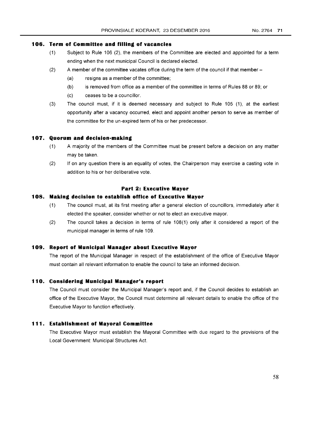# **106. Term of Committee and filling of vacancies**

- (1) Subject to Rule 106 (2), the members of the Committee are elected and appointed for a term ending when the next municipal Council is declared elected.
- (2) A member of the committee vacates office during the term of the council if that member-
	- (a) resigns as a member of the committee;
	- (b) is removed from office as a member of the committee in terms of Rules 88 or 89; or
	- (c) ceases to be a councillor.
- (3) The council must, if it is deemed necessary and subject to Rule 105 (1), at the earliest opportunity after a vacancy occurred, elect and appoint another person to serve as member of the committee for the un-expired term of his or her predecessor.

#### **107. Quorum and decision-making**

- (1) A majority of the members of the Committee must be present before a decision on any matter may be taken.
- (2) If on any question there is an equality of votes, the Chairperson may exercise a casting vote in addition to his or her deliberative vote.

#### **Part 2: Executive Mayor**

#### **10S. Making decision to establish office of Executive Mayor**

- (1) The council must, at its first meeting after a general election of councillors, immediately after it elected the speaker, consider whether or not to elect an executive mayor.
- (2) The council takes a decision in terms of rule 108(1) only after it considered a report of the municipal manager in terms of rule 109.

#### **109. Report of Municipal Manager about Executive Mayor**

The report of the Municipal Manager in respect of the establishment of the office of Executive Mayor must contain all relevant information to enable the council to take an informed decision.

#### **110. Considering Municipal Manager's report**

The Council must consider the Municipal Manager's report and, if the Council decides to establish an office of the Executive Mayor, the Council must determine all relevant details to enable the office of the Executive Mayor to function effectively.

#### **111. Establishment of Mayoral Committee**

The Executive Mayor must establish the Mayoral Committee with due regard to the provisions of the Local Government: Municipal Structures Act.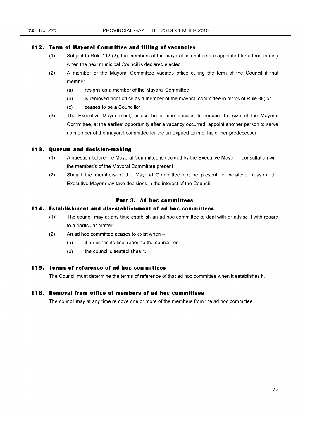#### **112. Term of Mayoral Committee and filling of vacancies**

- (1) Subject to Rule 112 (2), the members of the mayoral committee are appointed for a term ending when the next municipal Council is declared elected.
- (2) A member of the Mayoral Committee vacates office during the term of the Council if that member-
	- (a) resigns as a member of the Mayoral Committee;
	- (b) is removed from office as a member of the mayoral committee in terms of Rule 88; or
	- (c) ceases to be a Councillor.
- (3) The Executive Mayor must, unless he or she decides to reduce the size of the Mayoral Committee, at the earliest opportunity after a vacancy occurred, appoint another person to serve as member of the mayoral committee for the un-expired term of his or her predecessor.

#### **113. Quorum and decision-making**

- (1) A question before the Mayoral Committee is decided by the Executive Mayor in consultation with the member/s of the Mayoral Committee present.
- (2) Should the members of the Mayoral Committee not be present for whatever reason, the Executive Mayor may take decisions in the interest of the Council.

#### **Part 3: Ad hoc committees**

# **114. Establishment and disestablishment of ad hoc committees**

- (1) The council may at any time establish an ad hoc committee to deal with or advise it with regard to a particular matter.
- $(2)$  An ad hoc committee ceases to exist when  $-$ 
	- (a) it furnishes its final report to the council; or
	- (b) the council disestablishes it.

# **115. Terms of reference of ad hoc committees**

The Council must determine the terms of reference of that ad hoc committee when it establishes it.

#### **116. Removal from office of members of ad hoc committees**

The council may at any time remove one or more of the members from the ad hoc committee.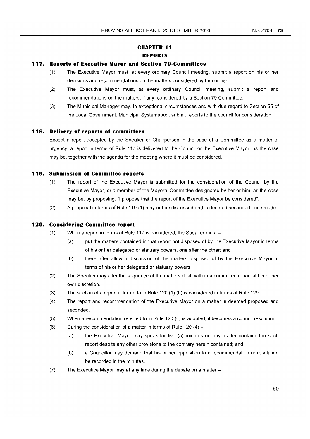# **CHAPTER 11 REPORTS**

## **117. Reports of Executive Mayor and Section 79-Committees**

- (1) The Executive Mayor must, at every ordinary Council meeting, submit a report on his or her decisions and recommendations on the matters considered by him or her.
- (2) The Executive Mayor must, at every ordinary Council meeting, submit a report and recommendations on the matters, if any, considered by a Section 79 Committee.
- (3) The Municipal Manager may, in exceptional circumstances and with due regard to Section 55 of the Local Government: Municipal Systems Act, submit reports to the council for consideration.

### **118. Delivery of reports of committees**

Except a report accepted by the Speaker or Chairperson in the case of a Committee as a matter of urgency, a report in terms of Rule 117 is delivered to the Council or the Executive Mayor, as the case may be, together with the agenda for the meeting where it must be considered.

## **119. Submission of Committee reports**

- (1) The report of the Executive Mayor is submitted for the consideration of the Council by the Executive Mayor, or a member of the Mayoral Committee designated by her or him, as the case may be, by proposing: "I propose that the report of the Executive Mayor be considered".
- (2) A proposal in terms of Rule 119 (1) may not be discussed and is deemed seconded once made.

#### **120. Considering Committee report**

- (1) When a report in terms of Rule 117 is considered, the Speaker must-
	- (a) put the matters contained in that report not disposed of by the Executive Mayor in terms of his or her delegated or statuary powers, one after the other; and
	- (b) there after allow a discussion of the matters disposed of by the Executive Mayor in terms of his or her delegated or statuary powers.
- (2) The Speaker may alter the sequence of the matters dealt with in a committee report at his or her own discretion.
- (3) The section of a report referred to in Rule 120 (1) (b) is considered in terms of Rule 129.
- (4) The report and recommendation of the Executive Mayor on a matter is deemed proposed and seconded.
- (5) When a recommendation referred to in Rule 120 (4) is adopted, it becomes a council resolution.
- (6) During the consideration of a matter in terms of Rule 120  $(4)$ 
	- (a) the Executive Mayor may speak for five (5) minutes on any matter contained in such report despite any other provisions to the contrary herein contained; and
	- (b) a Councillor may demand that his or her opposition to a recommendation or resolution be recorded in the minutes.
- $(7)$  The Executive Mayor may at any time during the debate on a matter  $-$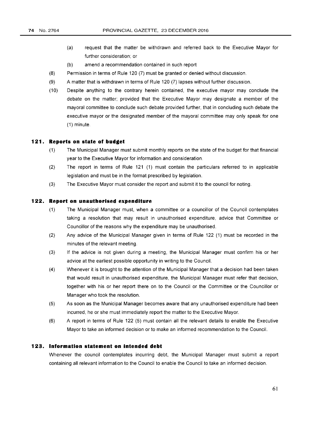- (a) request that the matter be withdrawn and referred back to the Executive Mayor for further consideration; or
- (b) amend a recommendation contained in such report
- (8) Permission in terms of Rule 120 (7) must be granted or denied without discussion.
- (9) A matter that is withdrawn in terms of Rule 120 (7) lapses without further discussion.
- (10) Despite anything to the contrary herein contained, the executive mayor may conclude the debate on the matter; provided that the Executive Mayor may designate a member of the mayoral committee to conclude such debate provided further, that in concluding such debate the executive mayor or the designated member of the mayoral committee may only speak for one (1) minute.

#### **121. Reports on state of budget**

- (1) The Municipal Manager must submit monthly reports on the state of the budget for that financial year to the Executive Mayor for information and consideration.
- (2) The report in terms of Rule 121 (1) must contain the particulars referred to in applicable legislation and must be in the format prescribed by legislation.
- (3) The Executive Mayor must consider the report and submit it to the council for noting.

#### **122. Report on unauthorised expenditure**

- (1) The Municipal Manager must, when a committee or a councillor of the Council contemplates taking a resolution that may result in unauthorised expenditure, advice that Committee or Councillor of the reasons why the expenditure may be unauthorised.
- (2) Any advice of the Municipal Manager given in terms of Rule 122 (1) must be recorded in the minutes of the relevant meeting.
- (3) If the advice is not given during a meeting, the Municipal Manager must confirm his or her advice at the earliest possible opportunity in writing to the Council.
- (4) Whenever it is brought to the attention of the Municipal Manager that a decision had been taken that would result in unauthorised expenditure, the Municipal Manager must refer that decision, together with his or her report there on to the Councilor the Committee or the Councillor or Manager who took the resolution.
- (5) As soon as the Municipal Manager becomes aware that any unauthorised expenditure had been incurred, he or she must immediately report the matter to the Executive Mayor.
- (6) A report in terms of Rule 122 (5) must contain all the relevant details to enable the Executive Mayor to take an informed decision or to make an informed recommendation to the Council.

#### **123. Information statement on intended debt**

Whenever the council contemplates incurring debt, the Municipal Manager must submit a report containing all relevant information to the Council to enable the Council to take an informed decision.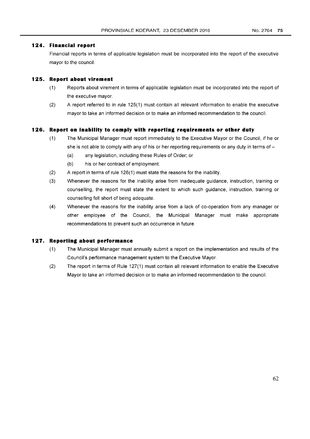### **124. Financial report**

Financial reports in terms of applicable legislation must be incorporated into the report of the executive mayor to the council.

## **125. Report about virement**

- (1) Reports about virement in terms of applicable legislation must be incorporated into the report of the executive mayor.
- (2) A report referred to in rule 125(1) must contain all relevant information to enable the executive mayor to take an informed decision or to make an informed recommendation to the council.

### **126. Report on inability to comply with reporting requirements or other duty**

- (1) The Municipal Manager must report immediately to the Executive Mayor or the Council, if he or she is not able to comply with any of his or her reporting requirements or any duty in terms of  $-$ 
	- (a) any legislation, including these Rules of Order; or
	- (b) his or her contract of employment.
- (2) A report in terms of rule 126(1) must state the reasons for the inability.
- (3) Whenever the reasons for the inability arise from inadequate guidance, instruction, training or counselling, the report must state the extent to which such guidance, instruction, training or counselling fell short of being adequate.
- (4) Whenever the reasons for the inability arise from a lack of co-operation from any manager or other employee of the Council, the Municipal Manager must make appropriate recommendations to prevent such an occurrence in future.

#### **127. Reporting about performance**

- (1) The Municipal Manager must annually submit a report on the implementation and results of the Council's performance management system to the Executive Mayor.
- (2) The report in terms of Rule 127(1) must contain all relevant information to enable the Executive Mayor to take an informed decision or to make an informed recommendation to the council.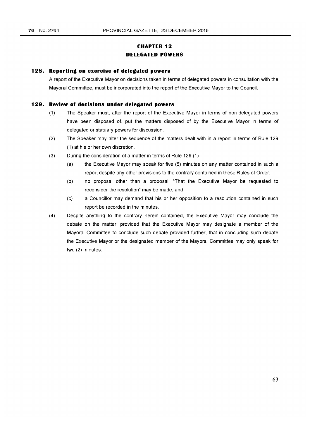## **CHAPTER 12 DELEGATED POWERS**

#### **128. Reporting on exercise of delegated powers**

A report of the Executive Mayor on decisions taken in terms of delegated powers in consultation with the Mayoral Committee, must be incorporated into the report of the Executive Mayor to the Council.

#### **129. Review of decisions under delegated powers**

- (1) The Speaker must, after the report of the Executive Mayor in terms of non-delegated powers have been disposed of, put the matters disposed of by the Executive Mayor in terms of delegated or statuary powers for discussion.
- (2) The Speaker may alter the sequence of the matters dealt with in a report in terms of Rule 129 (1) at his or her own discretion.
- (3) During the consideration of a matter in terms of Rule  $129(1) -$ 
	- (a) the Executive Mayor may speak for five (5) minutes on any matter contained in such a report despite any other provisions to the contrary contained in these Rules of Order;
	- (b) no proposal other than a proposal, "That the Executive Mayor be requested to reconsider the resolution" may be made; and
	- (c) a Councillor may demand that his or her opposition to a resolution contained in such report be recorded in the minutes.
- (4) Despite anything to the contrary herein contained, the Executive Mayor may conclude the debate on the matter; provided that the Executive Mayor may designate a member of the Mayoral Committee to conclude such debate provided further, that in concluding such debate the Executive Mayor or the designated member of the Mayoral Committee may only speak for two (2) minutes.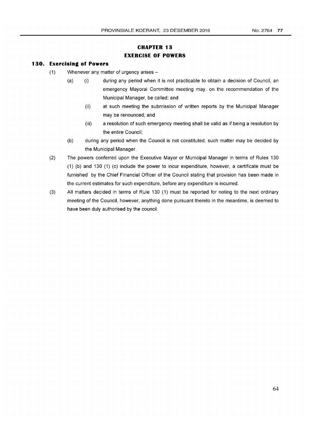## **CHAPTER 13 EXERCISE OF POWERS**

#### **130. Exercising of Powers**

- (1) Whenever any matter of urgency arises-
	- (a) (i) during any period when it is not practicable to obtain a decision of Council, an emergency Mayoral Committee meeting may, on the recommendation of the Municipal Manager, be called; and
		- (ii) at such meeting the submission of written reports by the Municipal Manager may be renounced; and
		- (iii) a resolution of such emergency meeting shall be valid as if being a resolution by the entire Council;
	- (b) during any period when the Council is not constituted, such matter may be decided by the Municipal Manager.
- (2) The powers conferred upon the Executive Mayor or Municipal Manager in terms of Rules 130 (1) (b) and 130 (1) (c) include the power to incur expenditure, however, a certificate must be furnished by the Chief Financial Officer of the Council stating that provision has been made in the current estimates for such expenditure, before any expenditure is incurred.
- (3) All matters decided in terms of Rule 130 (1) must be reported for noting to the next ordinary meeting of the Council, however, anything done pursuant thereto in the meantime, is deemed to have been duly authorised by the council.